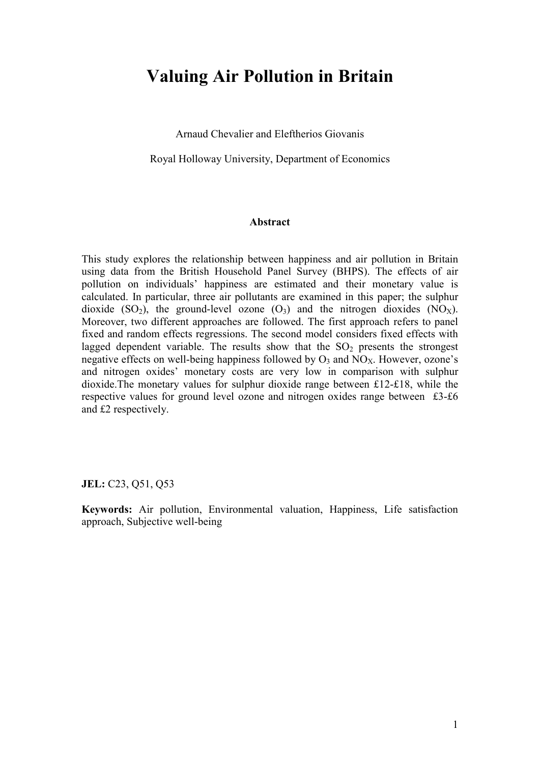# **Valuing Air Pollution in Britain**

Arnaud Chevalier and Eleftherios Giovanis

Royal Holloway University, Department of Economics

#### **Abstract**

This study explores the relationship between happiness and air pollution in Britain using data from the British Household Panel Survey (BHPS). The effects of air pollution on individuals' happiness are estimated and their monetary value is calculated. In particular, three air pollutants are examined in this paper; the sulphur dioxide (SO<sub>2</sub>), the ground-level ozone (O<sub>3</sub>) and the nitrogen dioxides (NO<sub>X</sub>). Moreover, two different approaches are followed. The first approach refers to panel fixed and random effects regressions. The second model considers fixed effects with lagged dependent variable. The results show that the  $SO<sub>2</sub>$  presents the strongest negative effects on well-being happiness followed by  $O_3$  and  $NO<sub>X</sub>$ . However, ozone's and nitrogen oxides' monetary costs are very low in comparison with sulphur dioxide.The monetary values for sulphur dioxide range between £12-£18, while the respective values for ground level ozone and nitrogen oxides range between £3-£6 and £2 respectively.

**JEL:** C23, Q51, Q53

**Keywords:** Air pollution, Environmental valuation, Happiness, Life satisfaction approach, Subjective well-being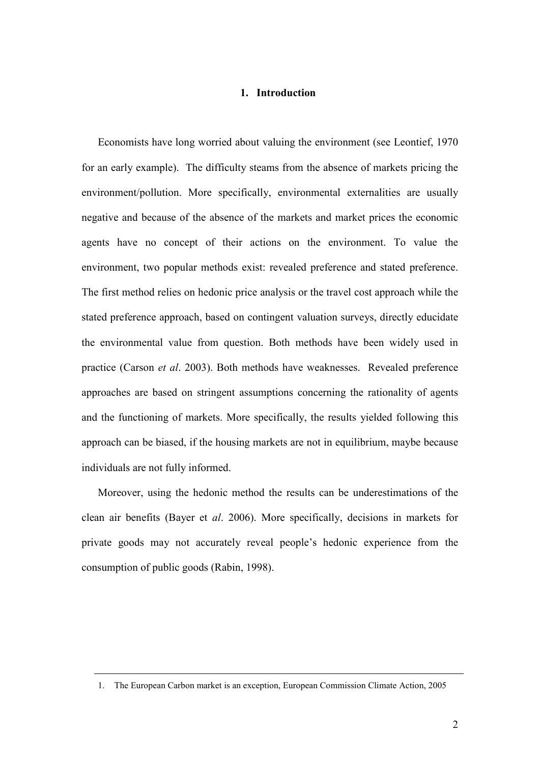#### **1. Introduction**

Economists have long worried about valuing the environment (see Leontief, 1970 for an early example). The difficulty steams from the absence of markets pricing the environment/pollution. More specifically, environmental externalities are usually negative and because of the absence of the markets and market prices the economic agents have no concept of their actions on the environment. To value the environment, two popular methods exist: revealed preference and stated preference. The first method relies on hedonic price analysis or the travel cost approach while the stated preference approach, based on contingent valuation surveys, directly educidate the environmental value from question. Both methods have been widely used in practice (Carson *et al*. 2003). Both methods have weaknesses. Revealed preference approaches are based on stringent assumptions concerning the rationality of agents and the functioning of markets. More specifically, the results yielded following this approach can be biased, if the housing markets are not in equilibrium, maybe because individuals are not fully informed.

Moreover, using the hedonic method the results can be underestimations of the clean air benefits (Bayer et *al*. 2006). More specifically, decisions in markets for private goods may not accurately reveal people's hedonic experience from the consumption of public goods (Rabin, 1998).

<sup>1.</sup> The European Carbon market is an exception, European Commission Climate Action, 2005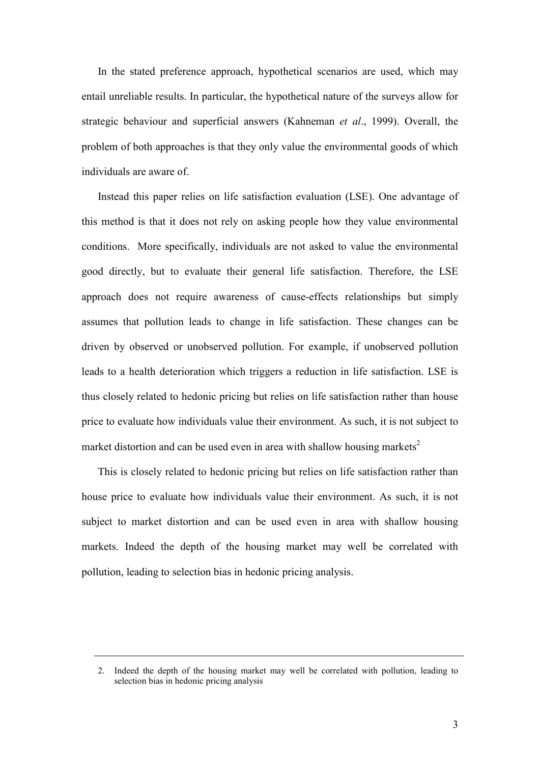In the stated preference approach, hypothetical scenarios are used, which may entail unreliable results. In particular, the hypothetical nature of the surveys allow for strategic behaviour and superficial answers (Kahneman *et al*., 1999). Overall, the problem of both approaches is that they only value the environmental goods of which individuals are aware of.

Instead this paper relies on life satisfaction evaluation (LSE). One advantage of this method is that it does not rely on asking people how they value environmental conditions. More specifically, individuals are not asked to value the environmental good directly, but to evaluate their general life satisfaction. Therefore, the LSE approach does not require awareness of cause-effects relationships but simply assumes that pollution leads to change in life satisfaction. These changes can be driven by observed or unobserved pollution. For example, if unobserved pollution leads to a health deterioration which triggers a reduction in life satisfaction. LSE is thus closely related to hedonic pricing but relies on life satisfaction rather than house price to evaluate how individuals value their environment. As such, it is not subject to market distortion and can be used even in area with shallow housing markets<sup>2</sup>

This is closely related to hedonic pricing but relies on life satisfaction rather than house price to evaluate how individuals value their environment. As such, it is not subject to market distortion and can be used even in area with shallow housing markets. Indeed the depth of the housing market may well be correlated with pollution, leading to selection bias in hedonic pricing analysis.

<sup>2.</sup> Indeed the depth of the housing market may well be correlated with pollution, leading to selection bias in hedonic pricing analysis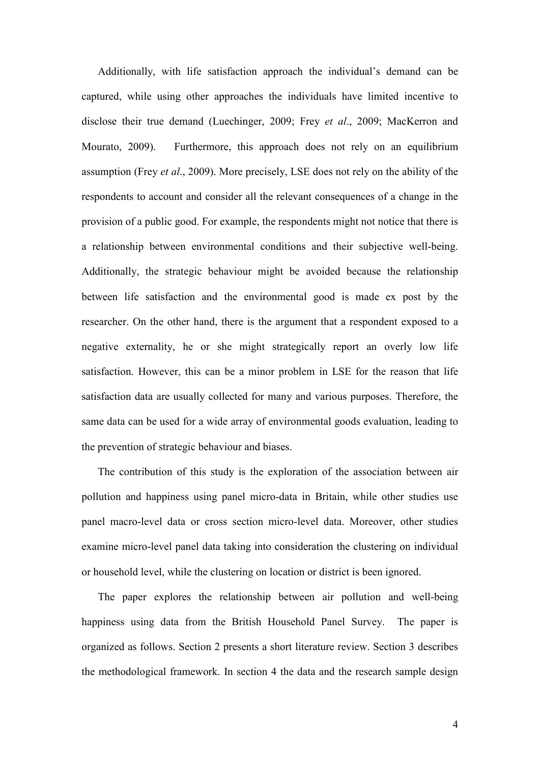Additionally, with life satisfaction approach the individual's demand can be captured, while using other approaches the individuals have limited incentive to disclose their true demand (Luechinger, 2009; Frey *et al*., 2009; MacKerron and Mourato, 2009). Furthermore, this approach does not rely on an equilibrium assumption (Frey *et al*., 2009). More precisely, LSE does not rely on the ability of the respondents to account and consider all the relevant consequences of a change in the provision of a public good. For example, the respondents might not notice that there is a relationship between environmental conditions and their subjective well-being. Additionally, the strategic behaviour might be avoided because the relationship between life satisfaction and the environmental good is made ex post by the researcher. On the other hand, there is the argument that a respondent exposed to a negative externality, he or she might strategically report an overly low life satisfaction. However, this can be a minor problem in LSE for the reason that life satisfaction data are usually collected for many and various purposes. Therefore, the same data can be used for a wide array of environmental goods evaluation, leading to the prevention of strategic behaviour and biases.

The contribution of this study is the exploration of the association between air pollution and happiness using panel micro-data in Britain, while other studies use panel macro-level data or cross section micro-level data. Moreover, other studies examine micro-level panel data taking into consideration the clustering on individual or household level, while the clustering on location or district is been ignored.

The paper explores the relationship between air pollution and well-being happiness using data from the British Household Panel Survey. The paper is organized as follows. Section 2 presents a short literature review. Section 3 describes the methodological framework. In section 4 the data and the research sample design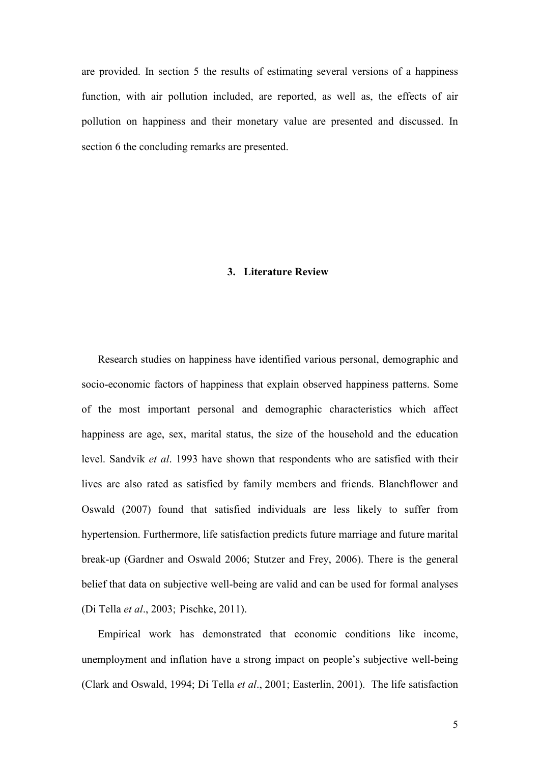are provided. In section 5 the results of estimating several versions of a happiness function, with air pollution included, are reported, as well as, the effects of air pollution on happiness and their monetary value are presented and discussed. In section 6 the concluding remarks are presented.

#### **3. Literature Review**

Research studies on happiness have identified various personal, demographic and socio-economic factors of happiness that explain observed happiness patterns. Some of the most important personal and demographic characteristics which affect happiness are age, sex, marital status, the size of the household and the education level. Sandvik *et al*. 1993 have shown that respondents who are satisfied with their lives are also rated as satisfied by family members and friends. Blanchflower and Oswald (2007) found that satisfied individuals are less likely to suffer from hypertension. Furthermore, life satisfaction predicts future marriage and future marital break-up (Gardner and Oswald 2006; Stutzer and Frey, 2006). There is the general belief that data on subjective well-being are valid and can be used for formal analyses (Di Tella *et al*., 2003; Pischke, 2011).

Empirical work has demonstrated that economic conditions like income, unemployment and inflation have a strong impact on people's subjective well-being (Clark and Oswald, 1994; Di Tella *et al*., 2001; Easterlin, 2001). The life satisfaction

5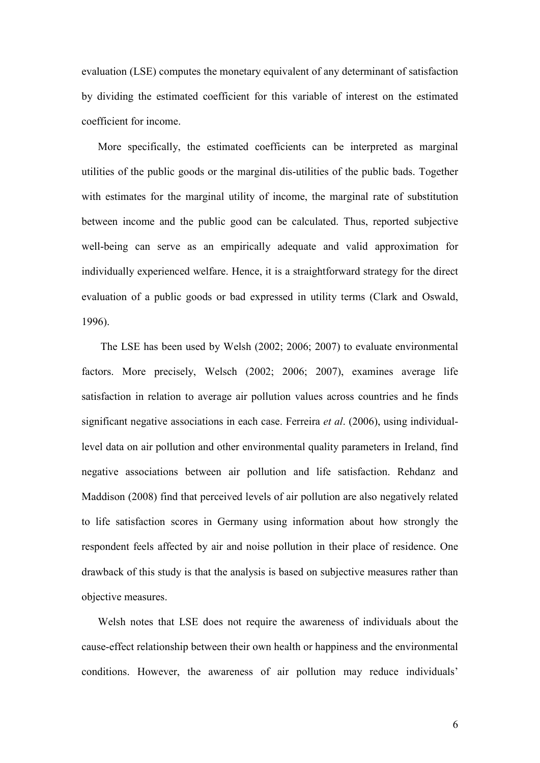evaluation (LSE) computes the monetary equivalent of any determinant of satisfaction by dividing the estimated coefficient for this variable of interest on the estimated coefficient for income.

More specifically, the estimated coefficients can be interpreted as marginal utilities of the public goods or the marginal dis-utilities of the public bads. Together with estimates for the marginal utility of income, the marginal rate of substitution between income and the public good can be calculated. Thus, reported subjective well-being can serve as an empirically adequate and valid approximation for individually experienced welfare. Hence, it is a straightforward strategy for the direct evaluation of a public goods or bad expressed in utility terms (Clark and Oswald, 1996).

 The LSE has been used by Welsh (2002; 2006; 2007) to evaluate environmental factors. More precisely, Welsch (2002; 2006; 2007), examines average life satisfaction in relation to average air pollution values across countries and he finds significant negative associations in each case. Ferreira *et al*. (2006), using individuallevel data on air pollution and other environmental quality parameters in Ireland, find negative associations between air pollution and life satisfaction. Rehdanz and Maddison (2008) find that perceived levels of air pollution are also negatively related to life satisfaction scores in Germany using information about how strongly the respondent feels affected by air and noise pollution in their place of residence. One drawback of this study is that the analysis is based on subjective measures rather than objective measures.

Welsh notes that LSE does not require the awareness of individuals about the cause-effect relationship between their own health or happiness and the environmental conditions. However, the awareness of air pollution may reduce individuals'

6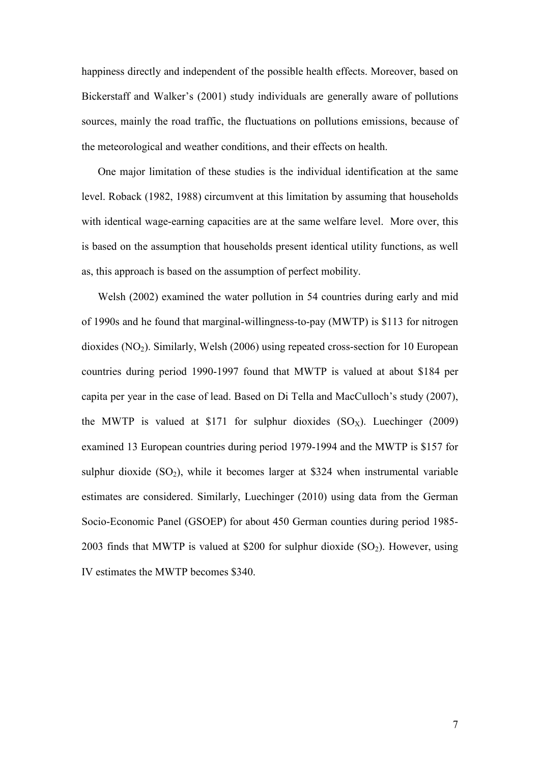happiness directly and independent of the possible health effects. Moreover, based on Bickerstaff and Walker's (2001) study individuals are generally aware of pollutions sources, mainly the road traffic, the fluctuations on pollutions emissions, because of the meteorological and weather conditions, and their effects on health.

One major limitation of these studies is the individual identification at the same level. Roback (1982, 1988) circumvent at this limitation by assuming that households with identical wage-earning capacities are at the same welfare level. More over, this is based on the assumption that households present identical utility functions, as well as, this approach is based on the assumption of perfect mobility.

Welsh (2002) examined the water pollution in 54 countries during early and mid of 1990s and he found that marginal-willingness-to-pay (MWTP) is \$113 for nitrogen dioxides  $(NO<sub>2</sub>)$ . Similarly, Welsh  $(2006)$  using repeated cross-section for 10 European countries during period 1990-1997 found that MWTP is valued at about \$184 per capita per year in the case of lead. Based on Di Tella and MacCulloch's study (2007), the MWTP is valued at \$171 for sulphur dioxides  $(SO<sub>x</sub>)$ . Luechinger (2009) examined 13 European countries during period 1979-1994 and the MWTP is \$157 for sulphur dioxide  $(SO_2)$ , while it becomes larger at \$324 when instrumental variable estimates are considered. Similarly, Luechinger (2010) using data from the German Socio-Economic Panel (GSOEP) for about 450 German counties during period 1985- 2003 finds that MWTP is valued at \$200 for sulphur dioxide  $(SO<sub>2</sub>)$ . However, using IV estimates the MWTP becomes \$340.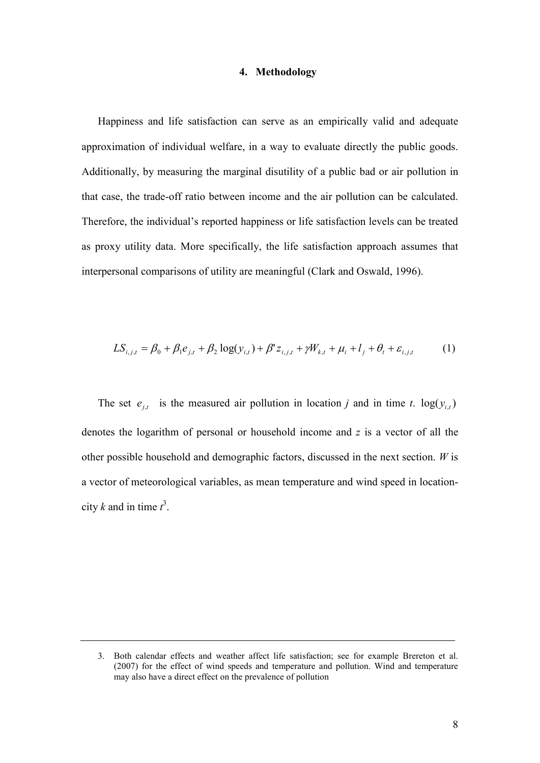#### **4. Methodology**

Happiness and life satisfaction can serve as an empirically valid and adequate approximation of individual welfare, in a way to evaluate directly the public goods. Additionally, by measuring the marginal disutility of a public bad or air pollution in that case, the trade-off ratio between income and the air pollution can be calculated. Therefore, the individual's reported happiness or life satisfaction levels can be treated as proxy utility data. More specifically, the life satisfaction approach assumes that interpersonal comparisons of utility are meaningful (Clark and Oswald, 1996).

$$
LS_{i,j,t} = \beta_0 + \beta_1 e_{j,t} + \beta_2 \log(y_{i,t}) + \beta' z_{i,j,t} + \gamma W_{k,t} + \mu_i + l_j + \theta_t + \varepsilon_{i,j,t}
$$
 (1)

The set  $e_{j,t}$  is the measured air pollution in location *j* and in time *t*.  $log(y_{i,t})$ denotes the logarithm of personal or household income and *z* is a vector of all the other possible household and demographic factors, discussed in the next section. *W* is a vector of meteorological variables, as mean temperature and wind speed in locationcity *k* and in time  $t^3$ .

<sup>3.</sup> Both calendar effects and weather affect life satisfaction; see for example Brereton et al. (2007) for the effect of wind speeds and temperature and pollution. Wind and temperature may also have a direct effect on the prevalence of pollution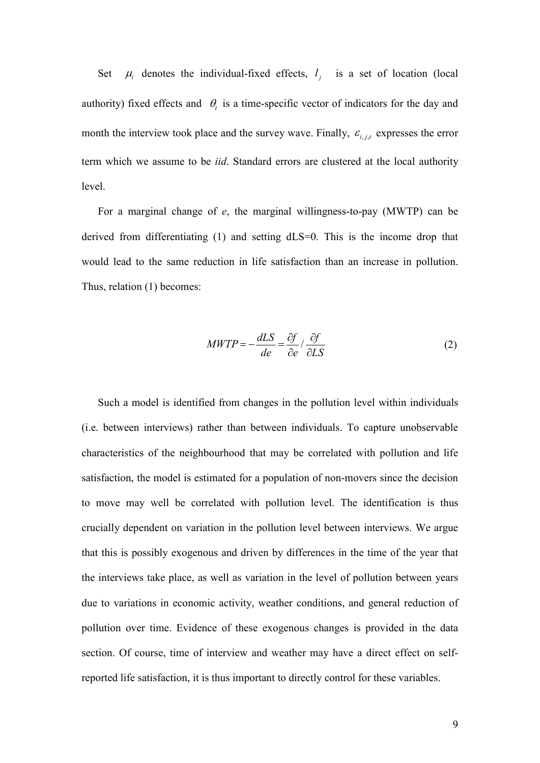Set <sup>µ</sup>*<sup>i</sup>* denotes the individual-fixed effects,  $l_j$  is a set of location (local authority) fixed effects and  $\theta_t$  is a time-specific vector of indicators for the day and month the interview took place and the survey wave. Finally,  $\varepsilon_{i,j,t}$  expresses the error term which we assume to be *iid*. Standard errors are clustered at the local authority level.

For a marginal change of *e*, the marginal willingness-to-pay (MWTP) can be derived from differentiating (1) and setting dLS=0. This is the income drop that would lead to the same reduction in life satisfaction than an increase in pollution. Thus, relation (1) becomes:

$$
MWTP = -\frac{dLS}{de} = \frac{\partial f}{\partial e} / \frac{\partial f}{\partial LS}
$$
 (2)

Such a model is identified from changes in the pollution level within individuals (i.e. between interviews) rather than between individuals. To capture unobservable characteristics of the neighbourhood that may be correlated with pollution and life satisfaction, the model is estimated for a population of non-movers since the decision to move may well be correlated with pollution level. The identification is thus crucially dependent on variation in the pollution level between interviews. We argue that this is possibly exogenous and driven by differences in the time of the year that the interviews take place, as well as variation in the level of pollution between years due to variations in economic activity, weather conditions, and general reduction of pollution over time. Evidence of these exogenous changes is provided in the data section. Of course, time of interview and weather may have a direct effect on selfreported life satisfaction, it is thus important to directly control for these variables.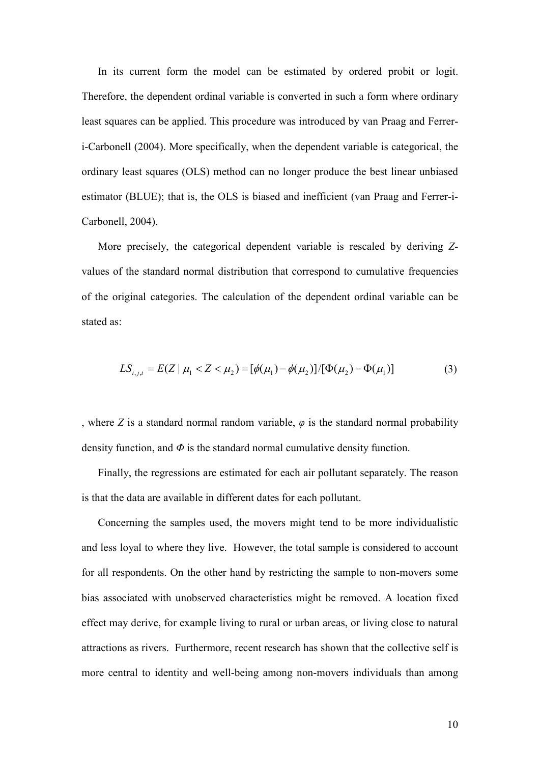In its current form the model can be estimated by ordered probit or logit. Therefore, the dependent ordinal variable is converted in such a form where ordinary least squares can be applied. This procedure was introduced by van Praag and Ferreri-Carbonell (2004). More specifically, when the dependent variable is categorical, the ordinary least squares (OLS) method can no longer produce the best linear unbiased estimator (BLUE); that is, the OLS is biased and inefficient (van Praag and Ferrer-i-Carbonell, 2004).

More precisely, the categorical dependent variable is rescaled by deriving *Z*values of the standard normal distribution that correspond to cumulative frequencies of the original categories. The calculation of the dependent ordinal variable can be stated as:

$$
LS_{i,j,t} = E(Z \mid \mu_1 < Z < \mu_2) = [\phi(\mu_1) - \phi(\mu_2)] / [\Phi(\mu_2) - \Phi(\mu_1)] \tag{3}
$$

, where *Z* is a standard normal random variable,  $\varphi$  is the standard normal probability density function, and *Φ* is the standard normal cumulative density function.

Finally, the regressions are estimated for each air pollutant separately. The reason is that the data are available in different dates for each pollutant.

Concerning the samples used, the movers might tend to be more individualistic and less loyal to where they live. However, the total sample is considered to account for all respondents. On the other hand by restricting the sample to non-movers some bias associated with unobserved characteristics might be removed. A location fixed effect may derive, for example living to rural or urban areas, or living close to natural attractions as rivers. Furthermore, recent research has shown that the collective self is more central to identity and well-being among non-movers individuals than among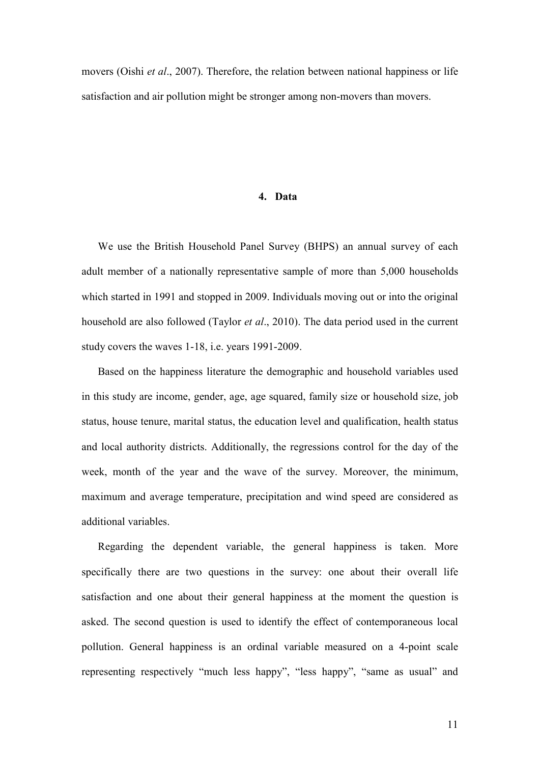movers (Oishi *et al*., 2007). Therefore, the relation between national happiness or life satisfaction and air pollution might be stronger among non-movers than movers.

#### **4. Data**

We use the British Household Panel Survey (BHPS) an annual survey of each adult member of a nationally representative sample of more than 5,000 households which started in 1991 and stopped in 2009. Individuals moving out or into the original household are also followed (Taylor *et al*., 2010). The data period used in the current study covers the waves 1-18, i.e. years 1991-2009.

Based on the happiness literature the demographic and household variables used in this study are income, gender, age, age squared, family size or household size, job status, house tenure, marital status, the education level and qualification, health status and local authority districts. Additionally, the regressions control for the day of the week, month of the year and the wave of the survey. Moreover, the minimum, maximum and average temperature, precipitation and wind speed are considered as additional variables.

Regarding the dependent variable, the general happiness is taken. More specifically there are two questions in the survey: one about their overall life satisfaction and one about their general happiness at the moment the question is asked. The second question is used to identify the effect of contemporaneous local pollution. General happiness is an ordinal variable measured on a 4-point scale representing respectively "much less happy", "less happy", "same as usual" and

11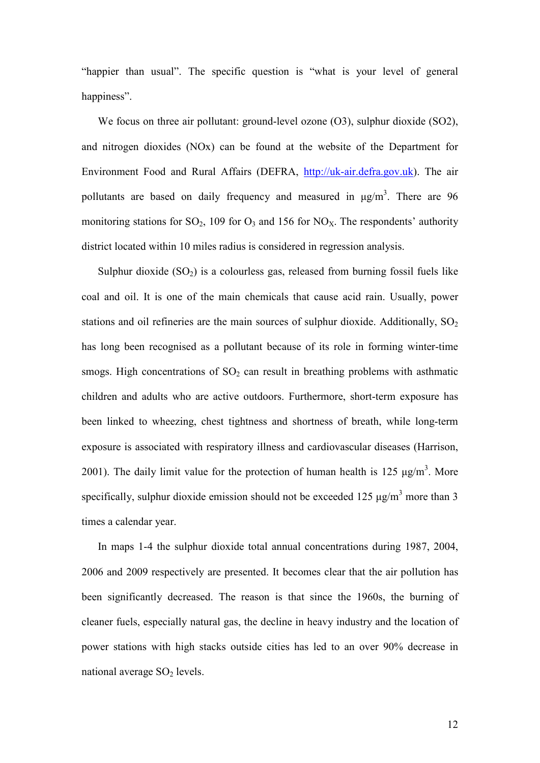"happier than usual". The specific question is "what is your level of general happiness".

We focus on three air pollutant: ground-level ozone (O3), sulphur dioxide (SO2), and nitrogen dioxides (NOx) can be found at the website of the Department for Environment Food and Rural Affairs (DEFRA, http://uk-air.defra.gov.uk). The air pollutants are based on daily frequency and measured in  $\mu$ g/m<sup>3</sup>. There are 96 monitoring stations for  $SO_2$ , 109 for  $O_3$  and 156 for  $NO_X$ . The respondents' authority district located within 10 miles radius is considered in regression analysis.

Sulphur dioxide  $(SO_2)$  is a colourless gas, released from burning fossil fuels like coal and oil. It is one of the main chemicals that cause acid rain. Usually, power stations and oil refineries are the main sources of sulphur dioxide. Additionally,  $SO<sub>2</sub>$ has long been recognised as a pollutant because of its role in forming winter-time smogs. High concentrations of  $SO<sub>2</sub>$  can result in breathing problems with asthmatic children and adults who are active outdoors. Furthermore, short-term exposure has been linked to wheezing, chest tightness and shortness of breath, while long-term exposure is associated with respiratory illness and cardiovascular diseases (Harrison, 2001). The daily limit value for the protection of human health is  $125 \mu g/m<sup>3</sup>$ . More specifically, sulphur dioxide emission should not be exceeded 125  $\mu$ g/m<sup>3</sup> more than 3 times a calendar year.

In maps 1-4 the sulphur dioxide total annual concentrations during 1987, 2004, 2006 and 2009 respectively are presented. It becomes clear that the air pollution has been significantly decreased. The reason is that since the 1960s, the burning of cleaner fuels, especially natural gas, the decline in heavy industry and the location of power stations with high stacks outside cities has led to an over 90% decrease in national average  $SO<sub>2</sub>$  levels.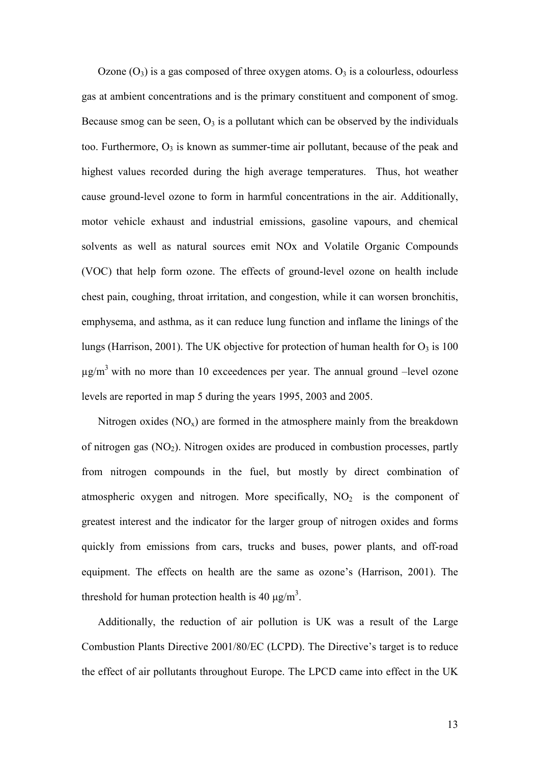Ozone  $(O_3)$  is a gas composed of three oxygen atoms.  $O_3$  is a colourless, odourless gas at ambient concentrations and is the primary constituent and component of smog. Because smog can be seen,  $O_3$  is a pollutant which can be observed by the individuals too. Furthermore,  $O_3$  is known as summer-time air pollutant, because of the peak and highest values recorded during the high average temperatures. Thus, hot weather cause ground-level ozone to form in harmful concentrations in the air. Additionally, motor vehicle exhaust and industrial emissions, gasoline vapours, and chemical solvents as well as natural sources emit NOx and Volatile Organic Compounds (VOC) that help form ozone. The effects of ground-level ozone on health include chest pain, coughing, throat irritation, and congestion, while it can worsen bronchitis, emphysema, and asthma, as it can reduce lung function and inflame the linings of the lungs (Harrison, 2001). The UK objective for protection of human health for  $O<sub>3</sub>$  is 100  $\mu$ g/m<sup>3</sup> with no more than 10 exceedences per year. The annual ground –level ozone levels are reported in map 5 during the years 1995, 2003 and 2005.

Nitrogen oxides  $(NO_x)$  are formed in the atmosphere mainly from the breakdown of nitrogen gas  $(NO<sub>2</sub>)$ . Nitrogen oxides are produced in combustion processes, partly from nitrogen compounds in the fuel, but mostly by direct combination of atmospheric oxygen and nitrogen. More specifically,  $NO<sub>2</sub>$  is the component of greatest interest and the indicator for the larger group of nitrogen oxides and forms quickly from emissions from cars, trucks and buses, power plants, and off-road equipment. The effects on health are the same as ozone's (Harrison, 2001). The threshold for human protection health is 40  $\mu$ g/m<sup>3</sup>.

Additionally, the reduction of air pollution is UK was a result of the Large Combustion Plants Directive 2001/80/EC (LCPD). The Directive's target is to reduce the effect of air pollutants throughout Europe. The LPCD came into effect in the UK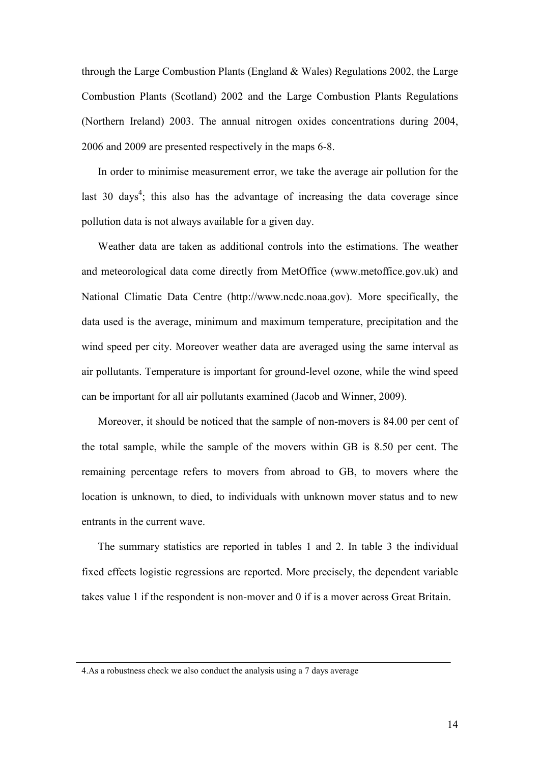through the Large Combustion Plants (England & Wales) Regulations 2002, the Large Combustion Plants (Scotland) 2002 and the Large Combustion Plants Regulations (Northern Ireland) 2003. The annual nitrogen oxides concentrations during 2004, 2006 and 2009 are presented respectively in the maps 6-8.

In order to minimise measurement error, we take the average air pollution for the last 30 days<sup>4</sup>; this also has the advantage of increasing the data coverage since pollution data is not always available for a given day.

Weather data are taken as additional controls into the estimations. The weather and meteorological data come directly from MetOffice (www.metoffice.gov.uk) and National Climatic Data Centre (http://www.ncdc.noaa.gov). More specifically, the data used is the average, minimum and maximum temperature, precipitation and the wind speed per city. Moreover weather data are averaged using the same interval as air pollutants. Temperature is important for ground-level ozone, while the wind speed can be important for all air pollutants examined (Jacob and Winner, 2009).

Moreover, it should be noticed that the sample of non-movers is 84.00 per cent of the total sample, while the sample of the movers within GB is 8.50 per cent. The remaining percentage refers to movers from abroad to GB, to movers where the location is unknown, to died, to individuals with unknown mover status and to new entrants in the current wave.

The summary statistics are reported in tables 1 and 2. In table 3 the individual fixed effects logistic regressions are reported. More precisely, the dependent variable takes value 1 if the respondent is non-mover and 0 if is a mover across Great Britain.

<sup>4.</sup>As a robustness check we also conduct the analysis using a 7 days average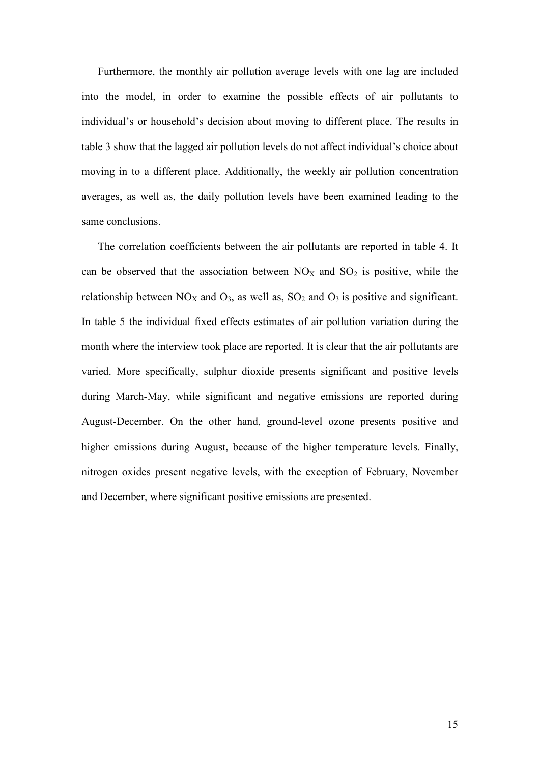Furthermore, the monthly air pollution average levels with one lag are included into the model, in order to examine the possible effects of air pollutants to individual's or household's decision about moving to different place. The results in table 3 show that the lagged air pollution levels do not affect individual's choice about moving in to a different place. Additionally, the weekly air pollution concentration averages, as well as, the daily pollution levels have been examined leading to the same conclusions.

The correlation coefficients between the air pollutants are reported in table 4. It can be observed that the association between  $NO<sub>X</sub>$  and  $SO<sub>2</sub>$  is positive, while the relationship between  $NO<sub>X</sub>$  and  $O<sub>3</sub>$ , as well as,  $SO<sub>2</sub>$  and  $O<sub>3</sub>$  is positive and significant. In table 5 the individual fixed effects estimates of air pollution variation during the month where the interview took place are reported. It is clear that the air pollutants are varied. More specifically, sulphur dioxide presents significant and positive levels during March-May, while significant and negative emissions are reported during August-December. On the other hand, ground-level ozone presents positive and higher emissions during August, because of the higher temperature levels. Finally, nitrogen oxides present negative levels, with the exception of February, November and December, where significant positive emissions are presented.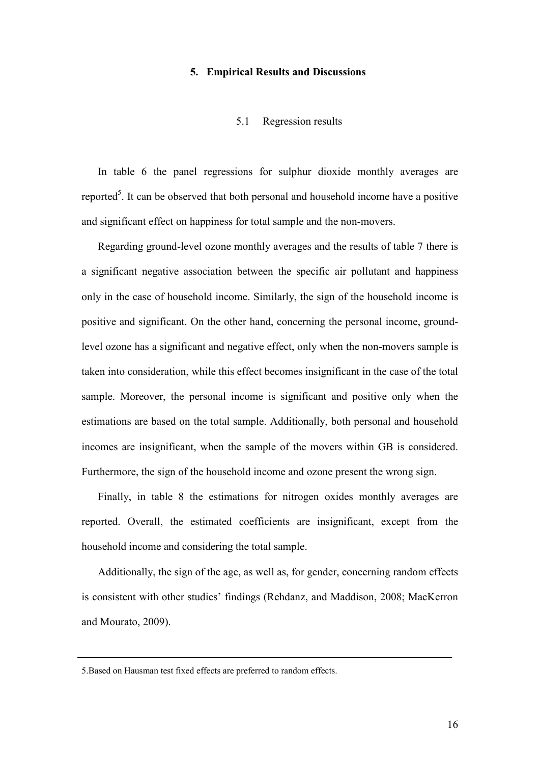#### **5. Empirical Results and Discussions**

#### 5.1 Regression results

In table 6 the panel regressions for sulphur dioxide monthly averages are reported<sup>5</sup>. It can be observed that both personal and household income have a positive and significant effect on happiness for total sample and the non-movers.

Regarding ground-level ozone monthly averages and the results of table 7 there is a significant negative association between the specific air pollutant and happiness only in the case of household income. Similarly, the sign of the household income is positive and significant. On the other hand, concerning the personal income, groundlevel ozone has a significant and negative effect, only when the non-movers sample is taken into consideration, while this effect becomes insignificant in the case of the total sample. Moreover, the personal income is significant and positive only when the estimations are based on the total sample. Additionally, both personal and household incomes are insignificant, when the sample of the movers within GB is considered. Furthermore, the sign of the household income and ozone present the wrong sign.

Finally, in table 8 the estimations for nitrogen oxides monthly averages are reported. Overall, the estimated coefficients are insignificant, except from the household income and considering the total sample.

Additionally, the sign of the age, as well as, for gender, concerning random effects is consistent with other studies' findings (Rehdanz, and Maddison, 2008; MacKerron and Mourato, 2009).

<sup>5.</sup>Based on Hausman test fixed effects are preferred to random effects.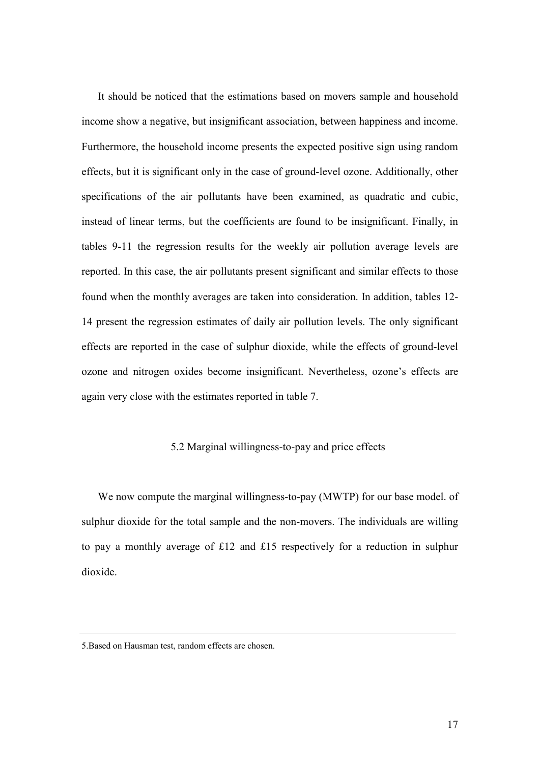It should be noticed that the estimations based on movers sample and household income show a negative, but insignificant association, between happiness and income. Furthermore, the household income presents the expected positive sign using random effects, but it is significant only in the case of ground-level ozone. Additionally, other specifications of the air pollutants have been examined, as quadratic and cubic, instead of linear terms, but the coefficients are found to be insignificant. Finally, in tables 9-11 the regression results for the weekly air pollution average levels are reported. In this case, the air pollutants present significant and similar effects to those found when the monthly averages are taken into consideration. In addition, tables 12- 14 present the regression estimates of daily air pollution levels. The only significant effects are reported in the case of sulphur dioxide, while the effects of ground-level ozone and nitrogen oxides become insignificant. Nevertheless, ozone's effects are again very close with the estimates reported in table 7.

#### 5.2 Marginal willingness-to-pay and price effects

We now compute the marginal willingness-to-pay (MWTP) for our base model. of sulphur dioxide for the total sample and the non-movers. The individuals are willing to pay a monthly average of £12 and £15 respectively for a reduction in sulphur dioxide.

<sup>5.</sup>Based on Hausman test, random effects are chosen.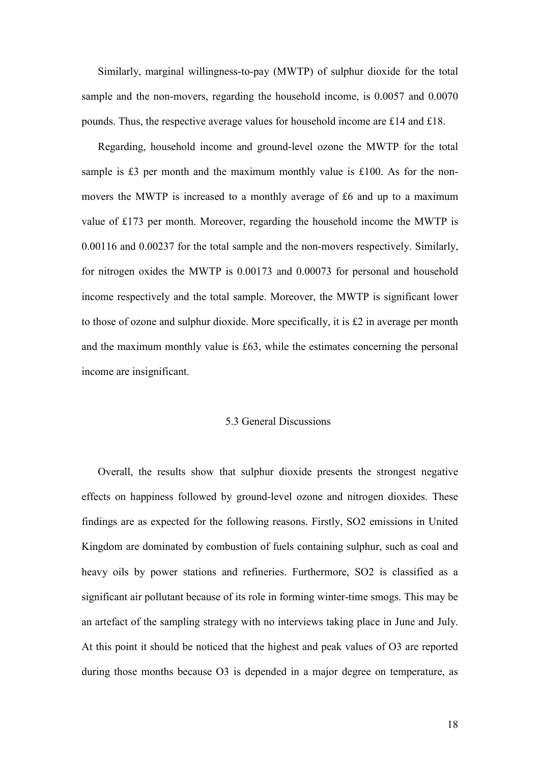Similarly, marginal willingness-to-pay (MWTP) of sulphur dioxide for the total sample and the non-movers, regarding the household income, is 0.0057 and 0.0070 pounds. Thus, the respective average values for household income are £14 and £18.

Regarding, household income and ground-level ozone the MWTP for the total sample is £3 per month and the maximum monthly value is £100. As for the nonmovers the MWTP is increased to a monthly average of £6 and up to a maximum value of £173 per month. Moreover, regarding the household income the MWTP is 0.00116 and 0.00237 for the total sample and the non-movers respectively. Similarly, for nitrogen oxides the MWTP is 0.00173 and 0.00073 for personal and household income respectively and the total sample. Moreover, the MWTP is significant lower to those of ozone and sulphur dioxide. More specifically, it is £2 in average per month and the maximum monthly value is £63, while the estimates concerning the personal income are insignificant.

#### 5.3 General Discussions

Overall, the results show that sulphur dioxide presents the strongest negative effects on happiness followed by ground-level ozone and nitrogen dioxides. These findings are as expected for the following reasons. Firstly, SO2 emissions in United Kingdom are dominated by combustion of fuels containing sulphur, such as coal and heavy oils by power stations and refineries. Furthermore, SO2 is classified as a significant air pollutant because of its role in forming winter-time smogs. This may be an artefact of the sampling strategy with no interviews taking place in June and July. At this point it should be noticed that the highest and peak values of O3 are reported during those months because O3 is depended in a major degree on temperature, as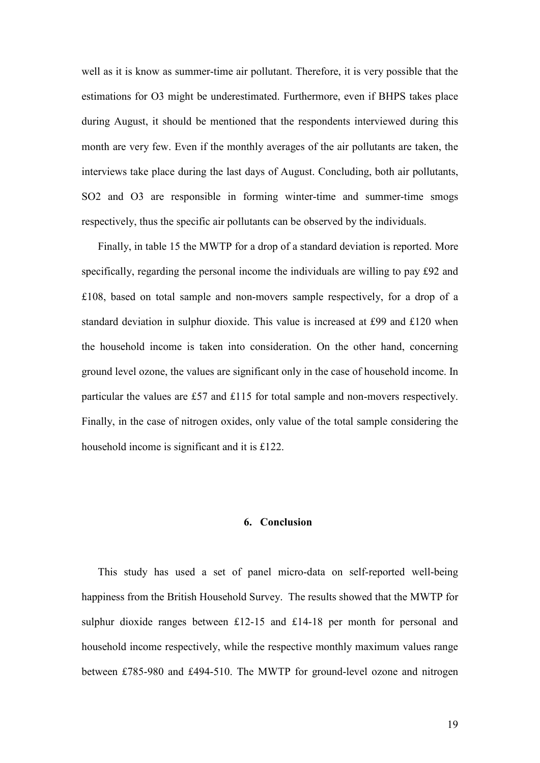well as it is know as summer-time air pollutant. Therefore, it is very possible that the estimations for O3 might be underestimated. Furthermore, even if BHPS takes place during August, it should be mentioned that the respondents interviewed during this month are very few. Even if the monthly averages of the air pollutants are taken, the interviews take place during the last days of August. Concluding, both air pollutants, SO2 and O3 are responsible in forming winter-time and summer-time smogs respectively, thus the specific air pollutants can be observed by the individuals.

Finally, in table 15 the MWTP for a drop of a standard deviation is reported. More specifically, regarding the personal income the individuals are willing to pay £92 and £108, based on total sample and non-movers sample respectively, for a drop of a standard deviation in sulphur dioxide. This value is increased at £99 and £120 when the household income is taken into consideration. On the other hand, concerning ground level ozone, the values are significant only in the case of household income. In particular the values are £57 and £115 for total sample and non-movers respectively. Finally, in the case of nitrogen oxides, only value of the total sample considering the household income is significant and it is £122.

## **6. Conclusion**

This study has used a set of panel micro-data on self-reported well-being happiness from the British Household Survey. The results showed that the MWTP for sulphur dioxide ranges between £12-15 and £14-18 per month for personal and household income respectively, while the respective monthly maximum values range between £785-980 and £494-510. The MWTP for ground-level ozone and nitrogen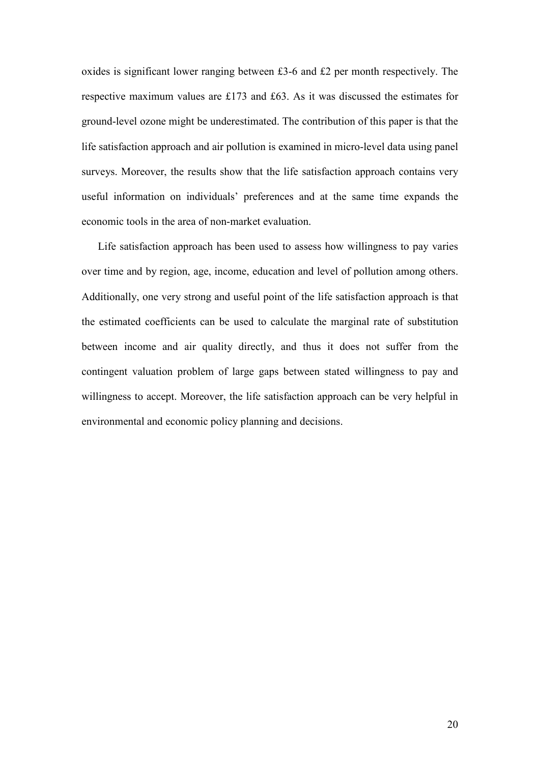oxides is significant lower ranging between £3-6 and £2 per month respectively. The respective maximum values are £173 and £63. As it was discussed the estimates for ground-level ozone might be underestimated. The contribution of this paper is that the life satisfaction approach and air pollution is examined in micro-level data using panel surveys. Moreover, the results show that the life satisfaction approach contains very useful information on individuals' preferences and at the same time expands the economic tools in the area of non-market evaluation.

Life satisfaction approach has been used to assess how willingness to pay varies over time and by region, age, income, education and level of pollution among others. Additionally, one very strong and useful point of the life satisfaction approach is that the estimated coefficients can be used to calculate the marginal rate of substitution between income and air quality directly, and thus it does not suffer from the contingent valuation problem of large gaps between stated willingness to pay and willingness to accept. Moreover, the life satisfaction approach can be very helpful in environmental and economic policy planning and decisions.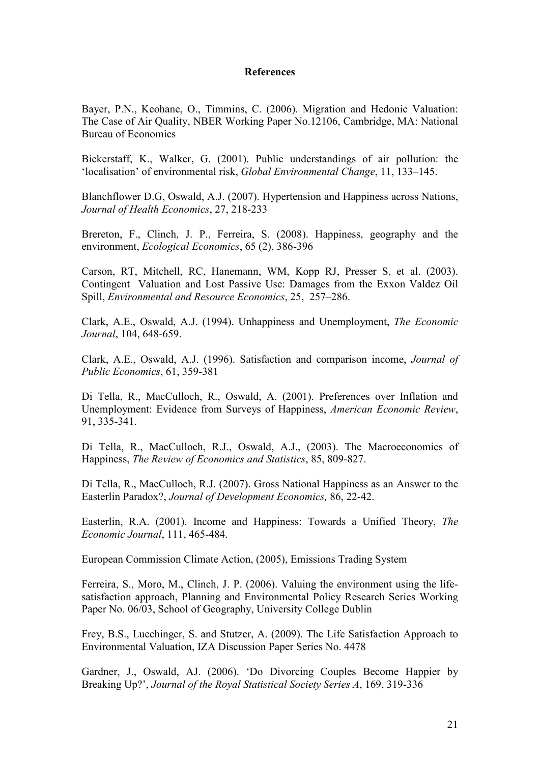## **References**

Bayer, P.N., Keohane, O., Timmins, C. (2006). Migration and Hedonic Valuation: The Case of Air Quality, NBER Working Paper No.12106, Cambridge, MA: National Bureau of Economics

Bickerstaff, K., Walker, G. (2001). Public understandings of air pollution: the 'localisation' of environmental risk, *Global Environmental Change*, 11, 133–145.

Blanchflower D.G, Oswald, A.J. (2007). Hypertension and Happiness across Nations, *Journal of Health Economics*, 27, 218-233

Brereton, F., Clinch, J. P., Ferreira, S. (2008). Happiness, geography and the environment, *Ecological Economics*, 65 (2), 386-396

Carson, RT, Mitchell, RC, Hanemann, WM, Kopp RJ, Presser S, et al. (2003). Contingent Valuation and Lost Passive Use: Damages from the Exxon Valdez Oil Spill, *Environmental and Resource Economics*, 25, 257–286.

Clark, A.E., Oswald, A.J. (1994). Unhappiness and Unemployment, *The Economic Journal*, 104, 648-659.

Clark, A.E., Oswald, A.J. (1996). Satisfaction and comparison income, *Journal of Public Economics*, 61, 359-381

Di Tella, R., MacCulloch, R., Oswald, A. (2001). Preferences over Inflation and Unemployment: Evidence from Surveys of Happiness, *American Economic Review*, 91, 335-341.

Di Tella, R., MacCulloch, R.J., Oswald, A.J., (2003). The Macroeconomics of Happiness, *The Review of Economics and Statistics*, 85, 809-827.

Di Tella, R., MacCulloch, R.J. (2007). Gross National Happiness as an Answer to the Easterlin Paradox?, *Journal of Development Economics,* 86, 22-42.

Easterlin, R.A. (2001). Income and Happiness: Towards a Unified Theory, *The Economic Journal*, 111, 465-484.

European Commission Climate Action, (2005), Emissions Trading System

Ferreira, S., Moro, M., Clinch, J. P. (2006). Valuing the environment using the lifesatisfaction approach, Planning and Environmental Policy Research Series Working Paper No. 06/03, School of Geography, University College Dublin

Frey, B.S., Luechinger, S. and Stutzer, A. (2009). The Life Satisfaction Approach to Environmental Valuation, IZA Discussion Paper Series No. 4478

Gardner, J., Oswald, AJ. (2006). 'Do Divorcing Couples Become Happier by Breaking Up?', *Journal of the Royal Statistical Society Series A*, 169, 319-336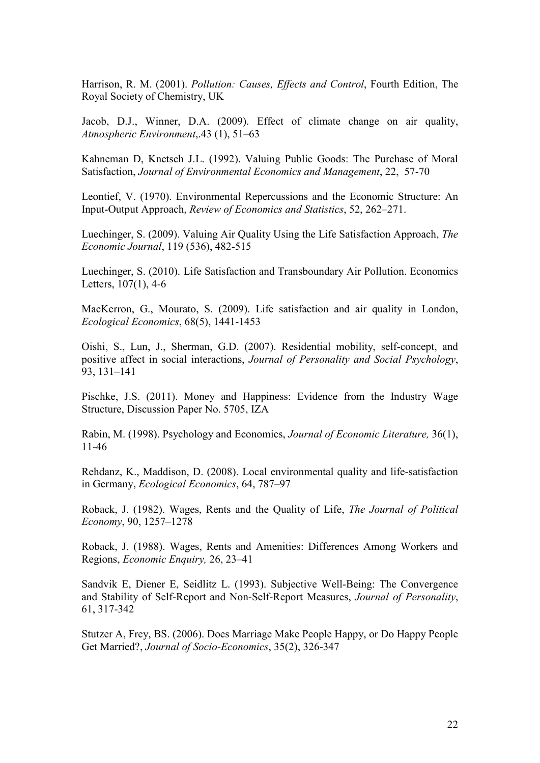Harrison, R. M. (2001). *Pollution: Causes, Effects and Control*, Fourth Edition, The Royal Society of Chemistry, UK

Jacob, D.J., Winner, D.A. (2009). Effect of climate change on air quality, *Atmospheric Environment*,.43 (1), 51–63

Kahneman D, Knetsch J.L. (1992). Valuing Public Goods: The Purchase of Moral Satisfaction, *Journal of Environmental Economics and Management*, 22, 57-70

Leontief, V. (1970). Environmental Repercussions and the Economic Structure: An Input-Output Approach, *Review of Economics and Statistics*, 52, 262–271.

Luechinger, S. (2009). Valuing Air Quality Using the Life Satisfaction Approach, *The Economic Journal*, 119 (536), 482-515

Luechinger, S. (2010). Life Satisfaction and Transboundary Air Pollution. Economics Letters, 107(1), 4-6

MacKerron, G., Mourato, S. (2009). Life satisfaction and air quality in London, *Ecological Economics*, 68(5), 1441-1453

Oishi, S., Lun, J., Sherman, G.D. (2007). Residential mobility, self-concept, and positive affect in social interactions, *Journal of Personality and Social Psychology*, 93, 131–141

Pischke, J.S. (2011). Money and Happiness: Evidence from the Industry Wage Structure, Discussion Paper No. 5705, IZA

Rabin, M. (1998). Psychology and Economics, *Journal of Economic Literature,* 36(1), 11-46

Rehdanz, K., Maddison, D. (2008). Local environmental quality and life-satisfaction in Germany, *Ecological Economics*, 64, 787–97

Roback, J. (1982). Wages, Rents and the Quality of Life, *The Journal of Political Economy*, 90, 1257–1278

Roback, J. (1988). Wages, Rents and Amenities: Differences Among Workers and Regions, *Economic Enquiry,* 26, 23–41

Sandvik E, Diener E, Seidlitz L. (1993). Subjective Well-Being: The Convergence and Stability of Self-Report and Non-Self-Report Measures, *Journal of Personality*, 61, 317-342

Stutzer A, Frey, BS. (2006). Does Marriage Make People Happy, or Do Happy People Get Married?, *Journal of Socio-Economics*, 35(2), 326-347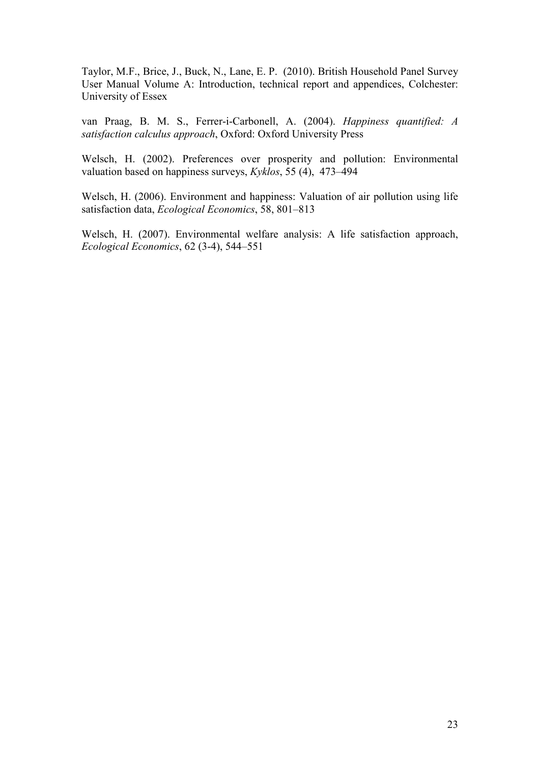Taylor, M.F., Brice, J., Buck, N., Lane, E. P. (2010). British Household Panel Survey User Manual Volume A: Introduction, technical report and appendices, Colchester: University of Essex

van Praag, B. M. S., Ferrer-i-Carbonell, A. (2004). *Happiness quantified: A satisfaction calculus approach*, Oxford: Oxford University Press

Welsch, H. (2002). Preferences over prosperity and pollution: Environmental valuation based on happiness surveys, *Kyklos*, 55 (4), 473–494

Welsch, H. (2006). Environment and happiness: Valuation of air pollution using life satisfaction data, *Ecological Economics*, 58, 801–813

Welsch, H. (2007). Environmental welfare analysis: A life satisfaction approach, *Ecological Economics*, 62 (3-4), 544–551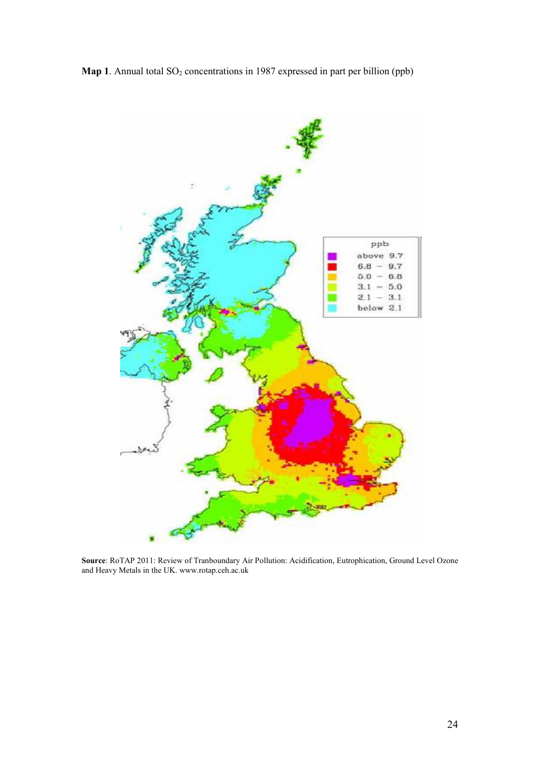



**Source**: RoTAP 2011: Review of Tranboundary Air Pollution: Acidification, Eutrophication, Ground Level Ozone and Heavy Metals in the UK. www.rotap.ceh.ac.uk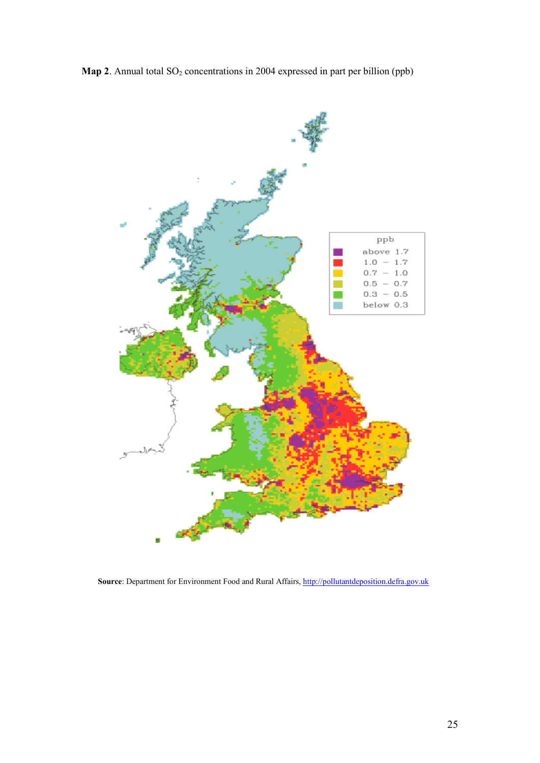



Source: Department for Environment Food and Rural Affairs, http://pollutantdeposition.defra.gov.uk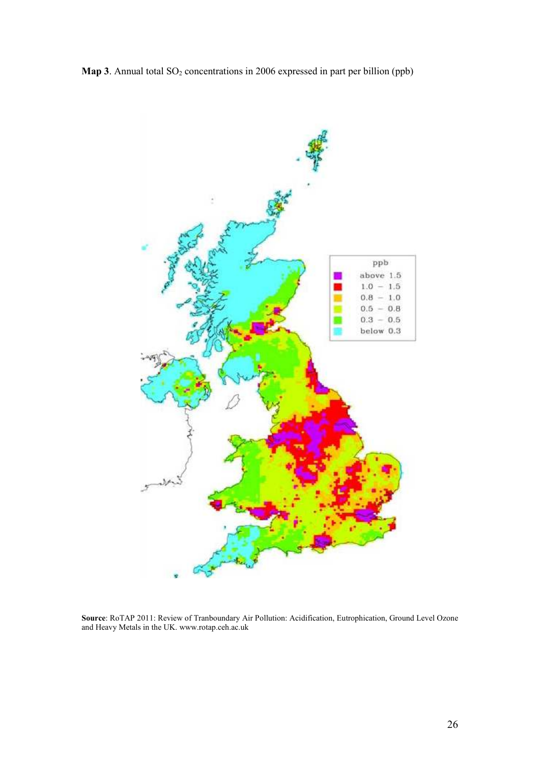



**Source**: RoTAP 2011: Review of Tranboundary Air Pollution: Acidification, Eutrophication, Ground Level Ozone and Heavy Metals in the UK. www.rotap.ceh.ac.uk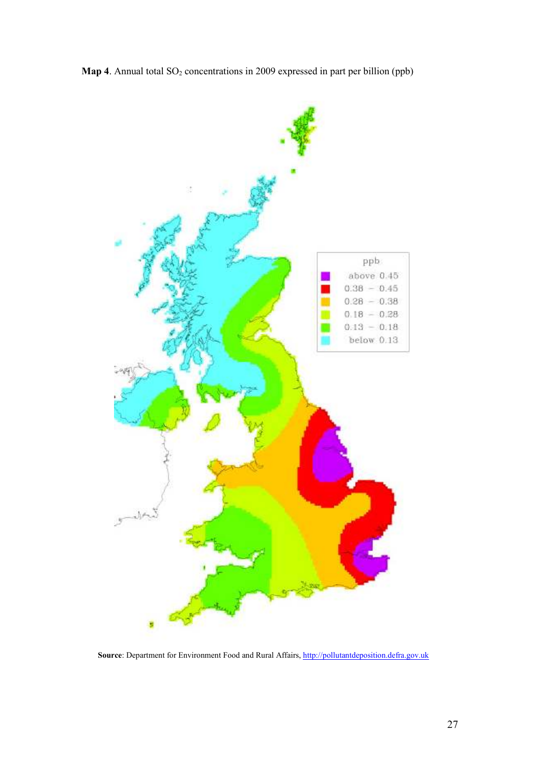



Source: Department for Environment Food and Rural Affairs, http://pollutantdeposition.defra.gov.uk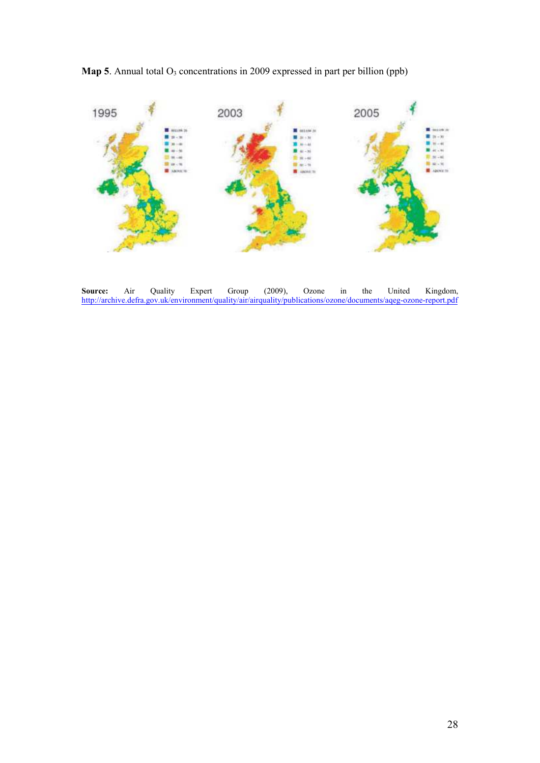**Map 5**. Annual total  $O_3$  concentrations in 2009 expressed in part per billion (ppb)



**Source:** Air Quality Expert Group (2009), Ozone in the United Kingdom, http://archive.defra.gov.uk/environment/quality/air/airquality/publications/ozone/documents/aqeg-ozone-report.pdf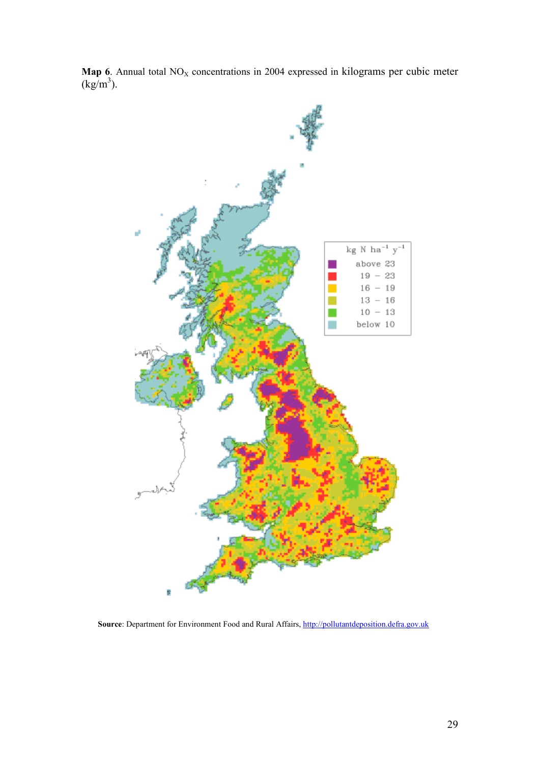

**Map 6**. Annual total  $NO<sub>X</sub>$  concentrations in 2004 expressed in kilograms per cubic meter  $(kg/m^3)$ .

Source: Department for Environment Food and Rural Affairs, http://pollutantdeposition.defra.gov.uk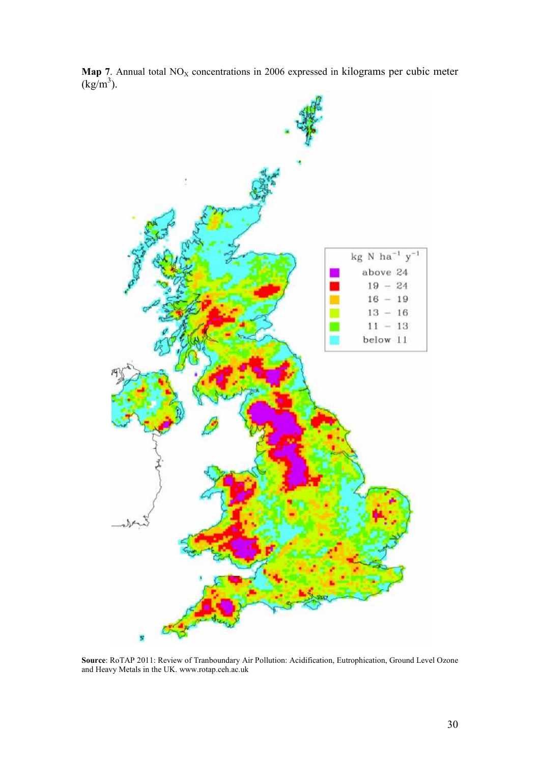

**Map 7**. Annual total  $NO<sub>X</sub>$  concentrations in 2006 expressed in kilograms per cubic meter  $(kg/m^3)$ .

**Source**: RoTAP 2011: Review of Tranboundary Air Pollution: Acidification, Eutrophication, Ground Level Ozone and Heavy Metals in the UK. www.rotap.ceh.ac.uk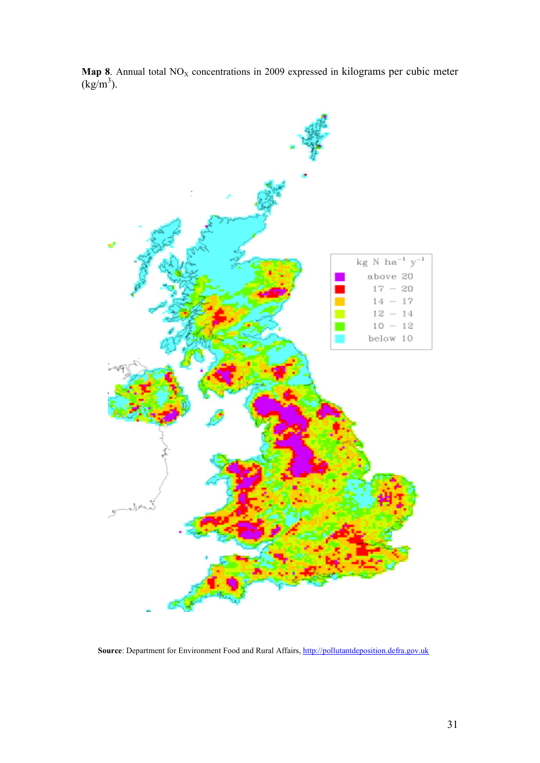

**Map 8**. Annual total  $NO<sub>X</sub>$  concentrations in 2009 expressed in kilograms per cubic meter  $(kg/m^3)$ .

Source: Department for Environment Food and Rural Affairs, http://pollutantdeposition.defra.gov.uk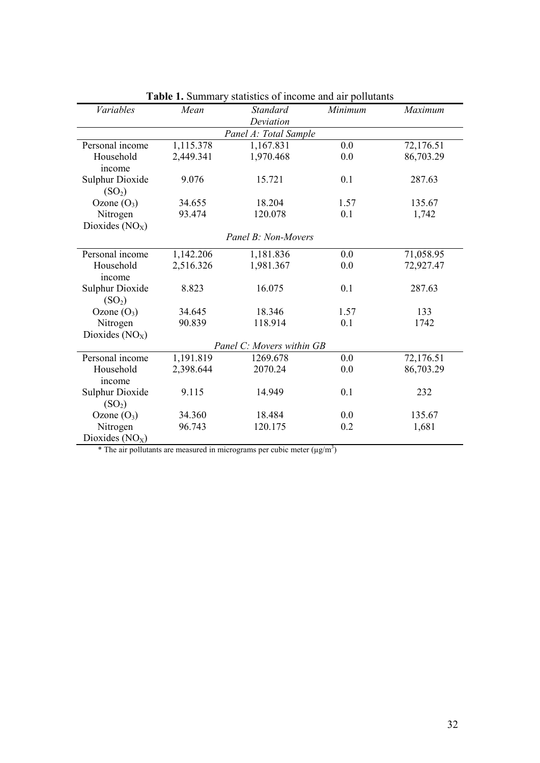| <b>Variables</b>                             | Mean      | <b>Standard</b>           | Minimum | Maximum   |
|----------------------------------------------|-----------|---------------------------|---------|-----------|
|                                              |           | Deviation                 |         |           |
|                                              |           | Panel A: Total Sample     |         |           |
| Personal income                              | 1,115.378 | 1,167.831                 | 0.0     | 72,176.51 |
| Household<br>income                          | 2,449.341 | 1,970.468                 | 0.0     | 86,703.29 |
| <b>Sulphur Dioxide</b><br>(SO <sub>2</sub> ) | 9.076     | 15.721                    | 0.1     | 287.63    |
| Ozone $(O_3)$                                | 34.655    | 18.204                    | 1.57    | 135.67    |
| Nitrogen                                     | 93.474    | 120.078                   | 0.1     | 1,742     |
| Dioxides $(NOX)$                             |           |                           |         |           |
|                                              |           | Panel B: Non-Movers       |         |           |
| Personal income                              | 1,142.206 | 1,181.836                 | 0.0     | 71,058.95 |
| Household                                    | 2,516.326 | 1,981.367                 | 0.0     | 72,927.47 |
| income                                       |           |                           |         |           |
| <b>Sulphur Dioxide</b><br>(SO <sub>2</sub> ) | 8.823     | 16.075                    | 0.1     | 287.63    |
| Ozone $(O_3)$                                | 34.645    | 18.346                    | 1.57    | 133       |
| Nitrogen                                     | 90.839    | 118.914                   | 0.1     | 1742      |
| Dioxides $(NOx)$                             |           |                           |         |           |
|                                              |           | Panel C: Movers within GB |         |           |
| Personal income                              | 1,191.819 | 1269.678                  | 0.0     | 72,176.51 |
| Household                                    | 2,398.644 | 2070.24                   | 0.0     | 86,703.29 |
| income                                       |           |                           |         |           |
| <b>Sulphur Dioxide</b><br>(SO <sub>2</sub> ) | 9.115     | 14.949                    | 0.1     | 232       |
| Ozone $(O_3)$                                | 34.360    | 18.484                    | 0.0     | 135.67    |
| Nitrogen                                     | 96.743    | 120.175                   | 0.2     | 1,681     |
| Dioxides $(NOx)$                             |           |                           |         |           |

**Table 1.** Summary statistics of income and air pollutants

\* The air pollutants are measured in micrograms per cubic meter  $(\mu g/m^3)$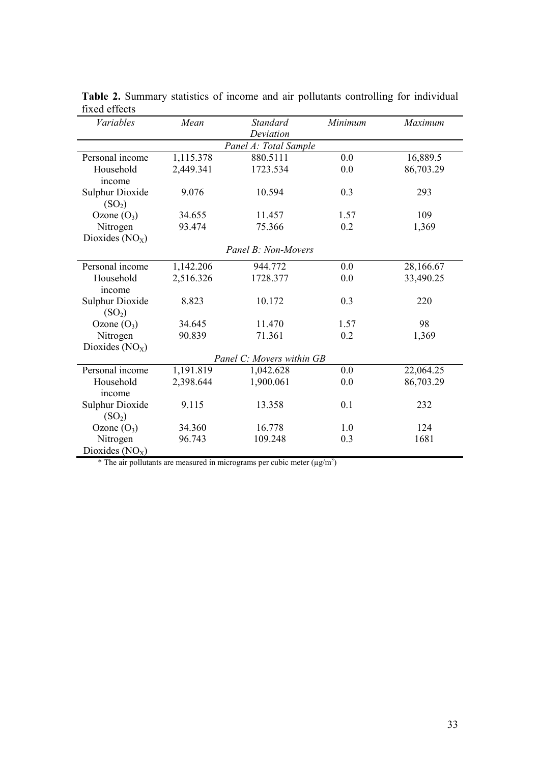| <i>Variables</i>                                                                                                                                         | Mean                                   | <b>Standard</b>                          | Minimum           | Maximum                                               |
|----------------------------------------------------------------------------------------------------------------------------------------------------------|----------------------------------------|------------------------------------------|-------------------|-------------------------------------------------------|
|                                                                                                                                                          |                                        | Deviation                                |                   |                                                       |
|                                                                                                                                                          |                                        | Panel A: Total Sample                    |                   |                                                       |
| Personal income                                                                                                                                          | 1,115.378                              | 880.5111                                 | 0.0               | 16,889.5                                              |
| Household                                                                                                                                                | 2,449.341                              | 1723.534                                 | 0.0               | 86,703.29                                             |
| income                                                                                                                                                   |                                        |                                          |                   |                                                       |
| <b>Sulphur Dioxide</b>                                                                                                                                   | 9.076                                  | 10.594                                   | 0.3               | 293                                                   |
| (SO <sub>2</sub> )                                                                                                                                       |                                        |                                          |                   |                                                       |
| Ozone $(O_3)$                                                                                                                                            | 34.655                                 | 11.457                                   | 1.57              | 109                                                   |
| Nitrogen                                                                                                                                                 | 93.474                                 | 75.366                                   | 0.2               | 1,369                                                 |
| Dioxides $(NOX)$                                                                                                                                         |                                        |                                          |                   |                                                       |
|                                                                                                                                                          |                                        | Panel B: Non-Movers                      |                   |                                                       |
|                                                                                                                                                          |                                        |                                          |                   |                                                       |
| Personal income                                                                                                                                          | 1,142.206                              | 944.772                                  | 0.0               | 28,166.67                                             |
| Household                                                                                                                                                | 2,516.326                              | 1728.377                                 | 0.0               | 33,490.25                                             |
| income                                                                                                                                                   |                                        |                                          |                   |                                                       |
| <b>Sulphur Dioxide</b>                                                                                                                                   | 8.823                                  | 10.172                                   | 0.3               | 220                                                   |
| (SO <sub>2</sub> )                                                                                                                                       |                                        |                                          |                   |                                                       |
|                                                                                                                                                          | 34.645                                 | 11.470                                   | 1.57              | 98                                                    |
|                                                                                                                                                          | 90.839                                 | 71.361                                   | 0.2               |                                                       |
|                                                                                                                                                          |                                        |                                          |                   |                                                       |
|                                                                                                                                                          |                                        | Panel C: Movers within GB                |                   |                                                       |
| Personal income                                                                                                                                          | 1,191.819                              | 1,042.628                                | 0.0               |                                                       |
| Household                                                                                                                                                |                                        |                                          | 0.0               |                                                       |
|                                                                                                                                                          |                                        |                                          |                   |                                                       |
|                                                                                                                                                          |                                        |                                          |                   |                                                       |
|                                                                                                                                                          |                                        |                                          |                   |                                                       |
|                                                                                                                                                          |                                        |                                          |                   |                                                       |
|                                                                                                                                                          |                                        |                                          |                   |                                                       |
|                                                                                                                                                          |                                        |                                          |                   |                                                       |
| Ozone $(O_3)$<br>Nitrogen<br>Dioxides $(NOX)$<br>income<br><b>Sulphur Dioxide</b><br>(SO <sub>2</sub> )<br>Ozone $(O_3)$<br>Nitrogen<br>Dioxides $(NOX)$ | 2,398.644<br>9.115<br>34.360<br>96.743 | 1,900.061<br>13.358<br>16.778<br>109.248 | 0.1<br>1.0<br>0.3 | 1,369<br>22,064.25<br>86,703.29<br>232<br>124<br>1681 |

**Table 2.** Summary statistics of income and air pollutants controlling for individual fixed effects

\* The air pollutants are measured in micrograms per cubic meter  $(\mu g/m^3)$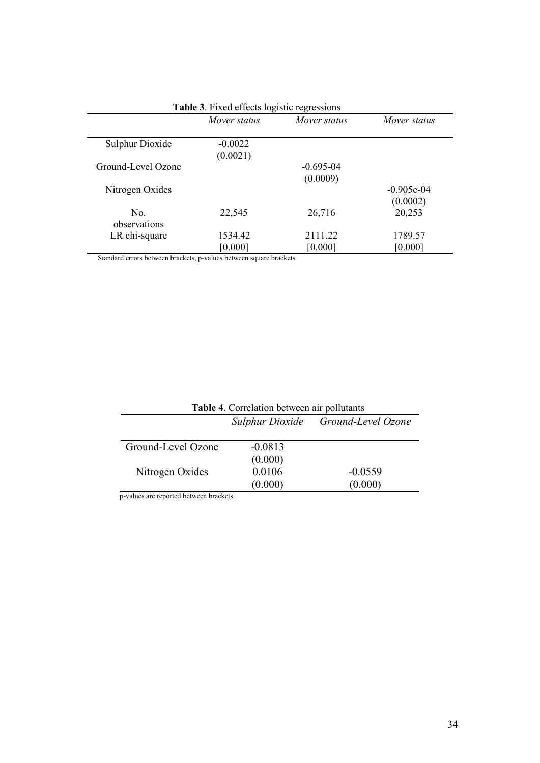|                        | Mover status | Mover status  | Mover status |
|------------------------|--------------|---------------|--------------|
| <b>Sulphur Dioxide</b> | $-0.0022$    |               |              |
|                        | (0.0021)     |               |              |
| Ground-Level Ozone     |              | $-0.695 - 04$ |              |
|                        |              | (0.0009)      |              |
| Nitrogen Oxides        |              |               | $-0.905e-04$ |
|                        |              |               | (0.0002)     |
| No.<br>observations    | 22,545       | 26,716        | 20,253       |
| LR chi-square          | 1534.42      | 2111.22       | 1789.57      |
|                        | [0.000]      | [0.000]       | [0.000]      |

**Table 3**. Fixed effects logistic regressions

Standard errors between brackets, p-values between square brackets

| <b>Table 4.</b> Correlation between air pollutants |           |                                    |  |  |  |  |
|----------------------------------------------------|-----------|------------------------------------|--|--|--|--|
|                                                    |           | Sulphur Dioxide Ground-Level Ozone |  |  |  |  |
|                                                    |           |                                    |  |  |  |  |
| Ground-Level Ozone                                 | $-0.0813$ |                                    |  |  |  |  |
|                                                    | (0.000)   |                                    |  |  |  |  |
| Nitrogen Oxides                                    | 0.0106    | $-0.0559$                          |  |  |  |  |
|                                                    | (0.000)   | (0.000)                            |  |  |  |  |

p-values are reported between brackets.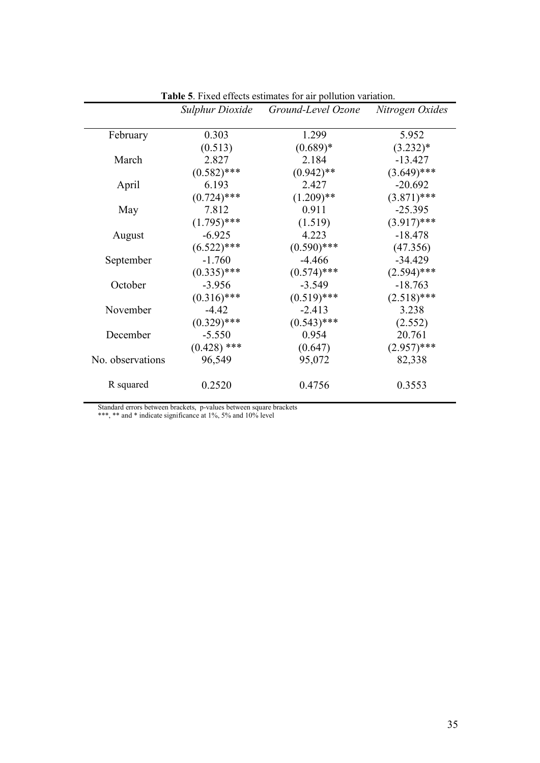|                  | <b>Sulphur Dioxide</b> | Ground-Level Ozone | Nitrogen Oxides |
|------------------|------------------------|--------------------|-----------------|
| February         | 0.303                  | 1.299              | 5.952           |
|                  | (0.513)                | $(0.689)*$         | $(3.232)*$      |
| March            | 2.827                  | 2.184              | $-13.427$       |
|                  | $(0.582)$ ***          | $(0.942)$ **       | $(3.649)$ ***   |
| April            | 6.193                  | 2.427              | $-20.692$       |
|                  | $(0.724)$ ***          | $(1.209)$ **       | $(3.871)$ ***   |
| May              | 7.812                  | 0.911              | $-25.395$       |
|                  | $(1.795)$ ***          | (1.519)            | $(3.917)$ ***   |
| August           | $-6.925$               | 4.223              | $-18.478$       |
|                  | $(6.522)$ ***          | $(0.590)$ ***      | (47.356)        |
| September        | $-1.760$               | $-4.466$           | $-34.429$       |
|                  | $(0.335)$ ***          | $(0.574)$ ***      | $(2.594)$ ***   |
| October          | $-3.956$               | $-3.549$           | $-18.763$       |
|                  | $(0.316)$ ***          | $(0.519)$ ***      | $(2.518)$ ***   |
| November         | $-4.42$                | $-2.413$           | 3.238           |
|                  | $(0.329)$ ***          | $(0.543)$ ***      | (2.552)         |
| December         | $-5.550$               | 0.954              | 20.761          |
|                  | $(0.428)$ ***          | (0.647)            | $(2.957)$ ***   |
| No. observations | 96,549                 | 95,072             | 82,338          |
| R squared        | 0.2520                 | 0.4756             | 0.3553          |

**Table 5**. Fixed effects estimates for air pollution variation.

\*\*\*, \*\* and \* indicate significance at 1%, 5% and 10% level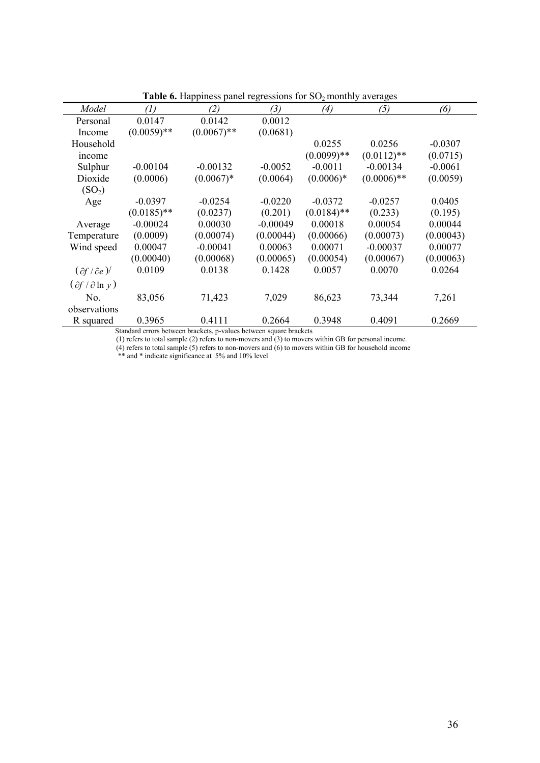|                                            | <b>Table 0.</b> Happiness panel regressions for $SO_2$ monthly averages |                                                                 |            |               |               |           |  |
|--------------------------------------------|-------------------------------------------------------------------------|-----------------------------------------------------------------|------------|---------------|---------------|-----------|--|
| Model                                      | $\left( l\right)$                                                       | (2)                                                             | (3)        | (4)           | (5)           | (6)       |  |
| Personal                                   | 0.0147                                                                  | 0.0142                                                          | 0.0012     |               |               |           |  |
| Income                                     | $(0.0059)$ **                                                           | $(0.0067)$ **                                                   | (0.0681)   |               |               |           |  |
| Household                                  |                                                                         |                                                                 |            | 0.0255        | 0.0256        | $-0.0307$ |  |
| income                                     |                                                                         |                                                                 |            | $(0.0099)$ ** | $(0.0112)$ ** | (0.0715)  |  |
| Sulphur                                    | $-0.00104$                                                              | $-0.00132$                                                      | $-0.0052$  | $-0.0011$     | $-0.00134$    | $-0.0061$ |  |
| Dioxide                                    | (0.0006)                                                                | $(0.0067)*$                                                     | (0.0064)   | $(0.0006)*$   | $(0.0006)$ ** | (0.0059)  |  |
| (SO <sub>2</sub> )                         |                                                                         |                                                                 |            |               |               |           |  |
| Age                                        | $-0.0397$                                                               | $-0.0254$                                                       | $-0.0220$  | $-0.0372$     | $-0.0257$     | 0.0405    |  |
|                                            | $(0.0185)$ **                                                           | (0.0237)                                                        | (0.201)    | $(0.0184)$ ** | (0.233)       | (0.195)   |  |
| Average                                    | $-0.00024$                                                              | 0.00030                                                         | $-0.00049$ | 0.00018       | 0.00054       | 0.00044   |  |
| Temperature                                | (0.0009)                                                                | (0.00074)                                                       | (0.00044)  | (0.00066)     | (0.00073)     | (0.00043) |  |
| Wind speed                                 | 0.00047                                                                 | $-0.00041$                                                      | 0.00063    | 0.00071       | $-0.00037$    | 0.00077   |  |
|                                            | (0.00040)                                                               | (0.00068)                                                       | (0.00065)  | (0.00054)     | (0.00067)     | (0.00063) |  |
| $(\partial f / \partial e)$                | 0.0109                                                                  | 0.0138                                                          | 0.1428     | 0.0057        | 0.0070        | 0.0264    |  |
| $\left(\partial f / \partial \ln y\right)$ |                                                                         |                                                                 |            |               |               |           |  |
| No.                                        | 83,056                                                                  | 71,423                                                          | 7,029      | 86,623        | 73,344        | 7,261     |  |
| observations                               |                                                                         |                                                                 |            |               |               |           |  |
| R squared                                  | 0.3965                                                                  | 0.4111                                                          | 0.2664     | 0.3948        | 0.4091        | 0.2669    |  |
|                                            |                                                                         | Standard among hatygon hmolata in values hatygon square hmolata |            |               |               |           |  |

**Table 6.** Happiness panel regressions for SO<sub>2</sub> monthly averages

(1) refers to total sample (2) refers to non-movers and (3) to movers within GB for personal income.

(4) refers to total sample (5) refers to non-movers and (6) to movers within GB for household income

\*\* and \* indicate significance at 5% and 10% level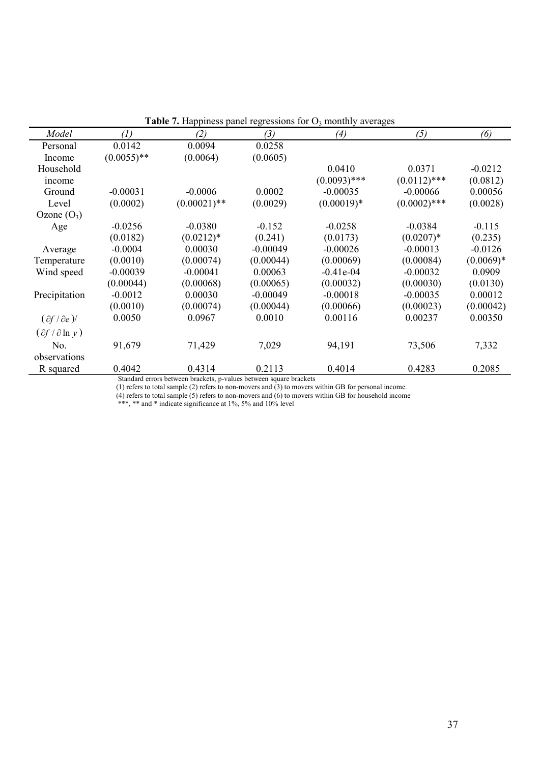|                                 |                   |                                                                      |            | <b>Thought to the property of the contrary of the contrary average</b> |                |             |
|---------------------------------|-------------------|----------------------------------------------------------------------|------------|------------------------------------------------------------------------|----------------|-------------|
| Model                           | $\left( l\right)$ | (2)                                                                  | (3)        | (4)                                                                    | (5)            | (6)         |
| Personal                        | 0.0142            | 0.0094                                                               | 0.0258     |                                                                        |                |             |
| Income                          | $(0.0055)$ **     | (0.0064)                                                             | (0.0605)   |                                                                        |                |             |
| Household                       |                   |                                                                      |            | 0.0410                                                                 | 0.0371         | $-0.0212$   |
| income                          |                   |                                                                      |            | $(0.0093)$ ***                                                         | $(0.0112)$ *** | (0.0812)    |
| Ground                          | $-0.00031$        | $-0.0006$                                                            | 0.0002     | $-0.00035$                                                             | $-0.00066$     | 0.00056     |
| Level                           | (0.0002)          | $(0.00021)$ **                                                       | (0.0029)   | $(0.00019)*$                                                           | $(0.0002)$ *** | (0.0028)    |
| Ozone $(O_3)$                   |                   |                                                                      |            |                                                                        |                |             |
| Age                             | $-0.0256$         | $-0.0380$                                                            | $-0.152$   | $-0.0258$                                                              | $-0.0384$      | $-0.115$    |
|                                 | (0.0182)          | $(0.0212)*$                                                          | (0.241)    | (0.0173)                                                               | $(0.0207)^*$   | (0.235)     |
| Average                         | $-0.0004$         | 0.00030                                                              | $-0.00049$ | $-0.00026$                                                             | $-0.00013$     | $-0.0126$   |
| Temperature                     | (0.0010)          | (0.00074)                                                            | (0.00044)  | (0.00069)                                                              | (0.00084)      | $(0.0069)*$ |
| Wind speed                      | $-0.00039$        | $-0.00041$                                                           | 0.00063    | $-0.41e-04$                                                            | $-0.00032$     | 0.0909      |
|                                 | (0.00044)         | (0.00068)                                                            | (0.00065)  | (0.00032)                                                              | (0.00030)      | (0.0130)    |
| Precipitation                   | $-0.0012$         | 0.00030                                                              | $-0.00049$ | $-0.00018$                                                             | $-0.00035$     | 0.00012     |
|                                 | (0.0010)          | (0.00074)                                                            | (0.00044)  | (0.00066)                                                              | (0.00023)      | (0.00042)   |
| $(\partial f / \partial e)$     | 0.0050            | 0.0967                                                               | 0.0010     | 0.00116                                                                | 0.00237        | 0.00350     |
| $(\partial f / \partial \ln y)$ |                   |                                                                      |            |                                                                        |                |             |
| No.                             | 91,679            | 71,429                                                               | 7,029      | 94,191                                                                 | 73,506         | 7,332       |
| observations                    |                   |                                                                      |            |                                                                        |                |             |
| R squared                       | 0.4042            | 0.4314                                                               | 0.2113     | 0.4014                                                                 | 0.4283         | 0.2085      |
|                                 |                   | Standard arrara hatuman hraaliata in values hatuman sauera hraaliata |            |                                                                        |                |             |

**Table 7.** Happiness panel regressions for  $O_3$  monthly averages

(1) refers to total sample (2) refers to non-movers and (3) to movers within GB for personal income.

 (4) refers to total sample (5) refers to non-movers and (6) to movers within GB for household income \*\*\*, \*\* and \* indicate significance at 1%, 5% and 10% level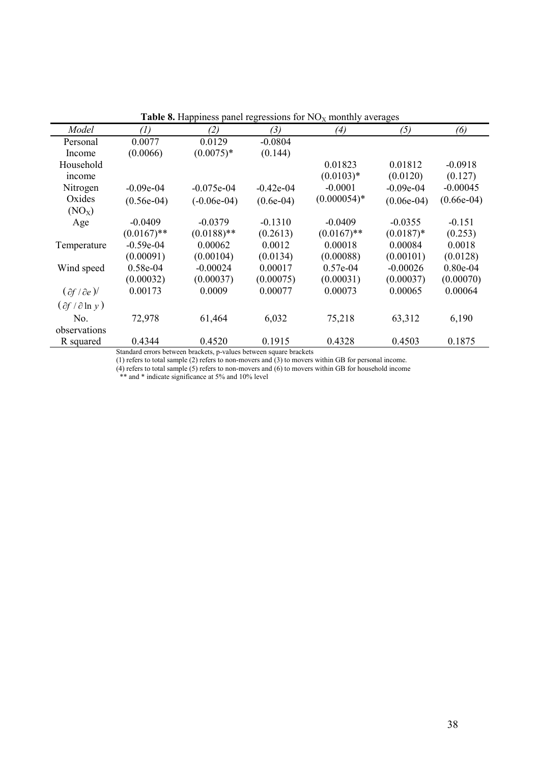|                                 |               |               |             | <b>Table o.</b> Happiness panel regressions for typy monthly averages |              |              |
|---------------------------------|---------------|---------------|-------------|-----------------------------------------------------------------------|--------------|--------------|
| Model                           | (1)           | (2)           | (3)         | (4)                                                                   | (5)          | (6)          |
| Personal                        | 0.0077        | 0.0129        | $-0.0804$   |                                                                       |              |              |
| Income                          | (0.0066)      | $(0.0075)*$   | (0.144)     |                                                                       |              |              |
| Household                       |               |               |             | 0.01823                                                               | 0.01812      | $-0.0918$    |
| income                          |               |               |             | $(0.0103)*$                                                           | (0.0120)     | (0.127)      |
| Nitrogen                        | $-0.09e-04$   | $-0.075e-04$  | $-0.42e-04$ | $-0.0001$                                                             | $-0.09e-04$  | $-0.00045$   |
| Oxides                          | $(0.56e-04)$  | $(-0.06e-04)$ | $(0.6e-04)$ | $(0.000054)*$                                                         | $(0.06e-04)$ | $(0.66e-04)$ |
| (NO <sub>x</sub> )              |               |               |             |                                                                       |              |              |
| Age                             | $-0.0409$     | $-0.0379$     | $-0.1310$   | $-0.0409$                                                             | $-0.0355$    | $-0.151$     |
|                                 | $(0.0167)$ ** | $(0.0188)$ ** | (0.2613)    | $(0.0167)$ **                                                         | $(0.0187)$ * | (0.253)      |
| Temperature                     | $-0.59e-04$   | 0.00062       | 0.0012      | 0.00018                                                               | 0.00084      | 0.0018       |
|                                 | (0.00091)     | (0.00104)     | (0.0134)    | (0.00088)                                                             | (0.00101)    | (0.0128)     |
| Wind speed                      | 0.58e-04      | $-0.00024$    | 0.00017     | 0.57e-04                                                              | $-0.00026$   | $0.80e-04$   |
|                                 | (0.00032)     | (0.00037)     | (0.00075)   | (0.00031)                                                             | (0.00037)    | (0.00070)    |
| $(\partial f / \partial e)$     | 0.00173       | 0.0009        | 0.00077     | 0.00073                                                               | 0.00065      | 0.00064      |
| $(\partial f / \partial \ln y)$ |               |               |             |                                                                       |              |              |
| No.                             | 72,978        | 61,464        | 6,032       | 75,218                                                                | 63,312       | 6,190        |
| observations                    |               |               |             |                                                                       |              |              |
| R squared                       | 0.4344        | 0.4520        | 0.1915      | 0.4328                                                                | 0.4503       | 0.1875       |

**Table 8.** Happiness panel regressions for  $NO<sub>x</sub>$  monthly averages

(1) refers to total sample (2) refers to non-movers and (3) to movers within GB for personal income.

(4) refers to total sample (5) refers to non-movers and (6) to movers within GB for household income

\*\* and \* indicate significance at 5% and 10% level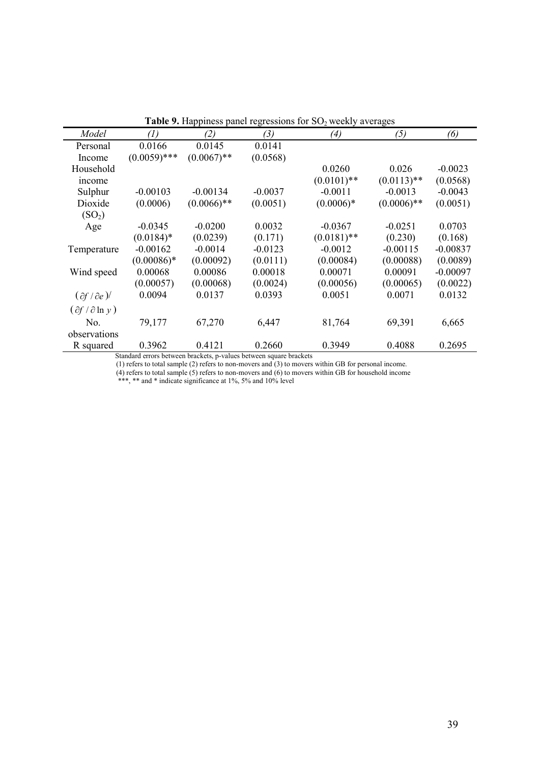|                                            |                |               |           | <b>There</b> 2. Happiness patient expressions for $50\frac{7}{2}$ weeking a verages |               |            |
|--------------------------------------------|----------------|---------------|-----------|-------------------------------------------------------------------------------------|---------------|------------|
| Model                                      | (1)            | (2)           | (3)       | (4)                                                                                 | (5)           | (6)        |
| Personal                                   | 0.0166         | 0.0145        | 0.0141    |                                                                                     |               |            |
| Income                                     | $(0.0059)$ *** | $(0.0067)$ ** | (0.0568)  |                                                                                     |               |            |
| Household                                  |                |               |           | 0.0260                                                                              | 0.026         | $-0.0023$  |
| income                                     |                |               |           | $(0.0101)$ **                                                                       | $(0.0113)$ ** | (0.0568)   |
| Sulphur                                    | $-0.00103$     | $-0.00134$    | $-0.0037$ | $-0.0011$                                                                           | $-0.0013$     | $-0.0043$  |
| Dioxide                                    | (0.0006)       | $(0.0066)$ ** | (0.0051)  | $(0.0006)*$                                                                         | $(0.0006)$ ** | (0.0051)   |
| (SO <sub>2</sub> )                         |                |               |           |                                                                                     |               |            |
| Age                                        | $-0.0345$      | $-0.0200$     | 0.0032    | $-0.0367$                                                                           | $-0.0251$     | 0.0703     |
|                                            | $(0.0184)$ *   | (0.0239)      | (0.171)   | $(0.0181)$ **                                                                       | (0.230)       | (0.168)    |
| Temperature                                | $-0.00162$     | $-0.0014$     | $-0.0123$ | $-0.0012$                                                                           | $-0.00115$    | $-0.00837$ |
|                                            | $(0.00086)*$   | (0.00092)     | (0.0111)  | (0.00084)                                                                           | (0.00088)     | (0.0089)   |
| Wind speed                                 | 0.00068        | 0.00086       | 0.00018   | 0.00071                                                                             | 0.00091       | $-0.00097$ |
|                                            | (0.00057)      | (0.00068)     | (0.0024)  | (0.00056)                                                                           | (0.00065)     | (0.0022)   |
| $(\partial f / \partial e)$                | 0.0094         | 0.0137        | 0.0393    | 0.0051                                                                              | 0.0071        | 0.0132     |
| $\left(\partial f / \partial \ln y\right)$ |                |               |           |                                                                                     |               |            |
| No.                                        | 79,177         | 67,270        | 6,447     | 81,764                                                                              | 69,391        | 6,665      |
| observations                               |                |               |           |                                                                                     |               |            |
| R squared                                  | 0.3962         | 0.4121        | 0.2660    | 0.3949                                                                              | 0.4088        | 0.2695     |

**Table 9.** Happiness panel regressions for SO<sub>2</sub> weekly averages

(1) refers to total sample (2) refers to non-movers and (3) to movers within GB for personal income.

(4) refers to total sample (5) refers to non-movers and (6) to movers within GB for household income

\*\*\*, \*\* and \* indicate significance at 1%, 5% and 10% level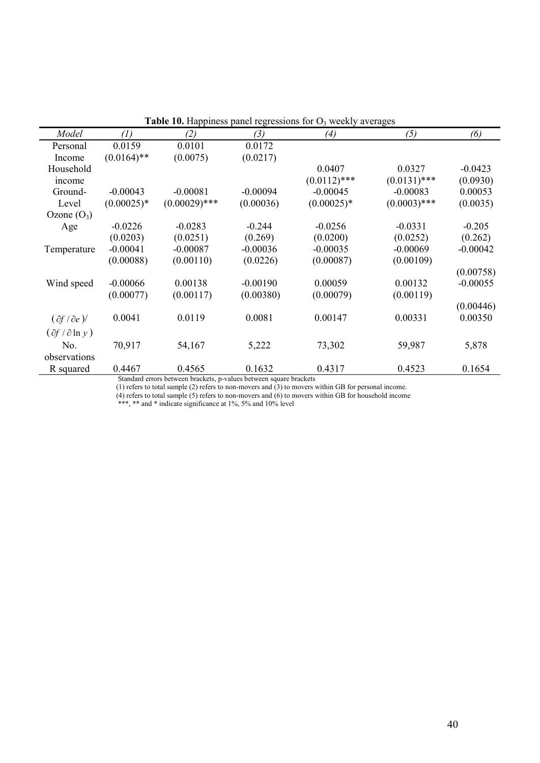|                                            |               |                                                      |                            | <b>Table To.</b> Happiness panel regressions for $\sigma_3$ weekly averages |                |            |
|--------------------------------------------|---------------|------------------------------------------------------|----------------------------|-----------------------------------------------------------------------------|----------------|------------|
| Model                                      | (1)           | (2)                                                  | (3)                        | (4)                                                                         | (5)            | (6)        |
| Personal                                   | 0.0159        | 0.0101                                               | 0.0172                     |                                                                             |                |            |
| Income                                     | $(0.0164)$ ** | (0.0075)                                             | (0.0217)                   |                                                                             |                |            |
| Household                                  |               |                                                      |                            | 0.0407                                                                      | 0.0327         | $-0.0423$  |
| income                                     |               |                                                      |                            | $(0.0112)$ ***                                                              | $(0.0131)$ *** | (0.0930)   |
| Ground-                                    | $-0.00043$    | $-0.00081$                                           | $-0.00094$                 | $-0.00045$                                                                  | $-0.00083$     | 0.00053    |
| Level                                      | $(0.00025)*$  | $(0.00029)$ ***                                      | (0.00036)                  | $(0.00025)*$                                                                | $(0.0003)$ *** | (0.0035)   |
| Ozone $(O_3)$                              |               |                                                      |                            |                                                                             |                |            |
| Age                                        | $-0.0226$     | $-0.0283$                                            | $-0.244$                   | $-0.0256$                                                                   | $-0.0331$      | $-0.205$   |
|                                            | (0.0203)      | (0.0251)                                             | (0.269)                    | (0.0200)                                                                    | (0.0252)       | (0.262)    |
| Temperature                                | $-0.00041$    | $-0.00087$                                           | $-0.00036$                 | $-0.00035$                                                                  | $-0.00069$     | $-0.00042$ |
|                                            | (0.00088)     | (0.00110)                                            | (0.0226)                   | (0.00087)                                                                   | (0.00109)      |            |
|                                            |               |                                                      |                            |                                                                             |                | (0.00758)  |
| Wind speed                                 | $-0.00066$    | 0.00138                                              | $-0.00190$                 | 0.00059                                                                     | 0.00132        | $-0.00055$ |
|                                            | (0.00077)     | (0.00117)                                            | (0.00380)                  | (0.00079)                                                                   | (0.00119)      |            |
|                                            |               |                                                      |                            |                                                                             |                | (0.00446)  |
| $(\partial f / \partial e)$                | 0.0041        | 0.0119                                               | 0.0081                     | 0.00147                                                                     | 0.00331        | 0.00350    |
| $\left(\partial f / \partial \ln y\right)$ |               |                                                      |                            |                                                                             |                |            |
| No.                                        | 70,917        | 54,167                                               | 5,222                      | 73,302                                                                      | 59,987         | 5,878      |
| observations                               |               |                                                      |                            |                                                                             |                |            |
| R squared                                  | 0.4467        | 0.4565                                               | 0.1632                     | 0.4317                                                                      | 0.4523         | 0.1654     |
|                                            |               | Otan dand amam katungan kuadhata ya mahingi katungan | المفادحات ومدحا المستحدثون |                                                                             |                |            |

**Table 10.** Happiness panel regressions for  $O_3$  weekly averages

 Standard errors between brackets, p-values between square brackets (1) refers to total sample (2) refers to non-movers and (3) to movers within GB for personal income.

(4) refers to total sample (5) refers to non-movers and (6) to movers within GB for household income

\*\*\*, \*\* and \* indicate significance at 1%, 5% and 10% level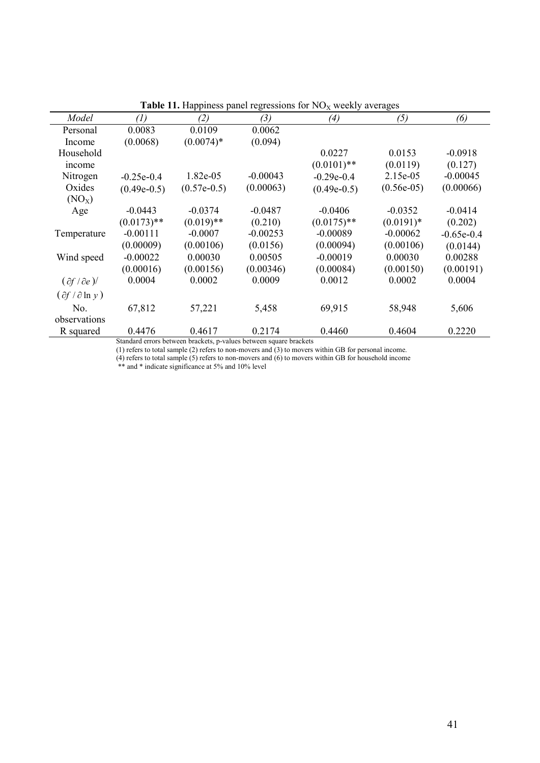|                                            |               |               |            | <b>THEIR THE HUMPHILES</b> PULLET LOSIONS FOR THO X WOOKLY UNCHUSOS |              |              |
|--------------------------------------------|---------------|---------------|------------|---------------------------------------------------------------------|--------------|--------------|
| Model                                      | (1)           | (2)           | (3)        | $\left( 4\right)$                                                   | (5)          | (6)          |
| Personal                                   | 0.0083        | 0.0109        | 0.0062     |                                                                     |              |              |
| Income                                     | (0.0068)      | $(0.0074)*$   | (0.094)    |                                                                     |              |              |
| Household                                  |               |               |            | 0.0227                                                              | 0.0153       | $-0.0918$    |
| income                                     |               |               |            | $(0.0101)$ **                                                       | (0.0119)     | (0.127)      |
| Nitrogen                                   | $-0.25e-0.4$  | 1.82e-05      | $-0.00043$ | $-0.29e-0.4$                                                        | 2.15e-05     | $-0.00045$   |
| Oxides                                     | $(0.49e-0.5)$ | $(0.57e-0.5)$ | (0.00063)  | $(0.49e-0.5)$                                                       | $(0.56e-05)$ | (0.00066)    |
| (NO <sub>x</sub> )                         |               |               |            |                                                                     |              |              |
| Age                                        | $-0.0443$     | $-0.0374$     | $-0.0487$  | $-0.0406$                                                           | $-0.0352$    | $-0.0414$    |
|                                            | $(0.0173)$ ** | $(0.019)$ **  | (0.210)    | $(0.0175)$ **                                                       | $(0.0191)$ * | (0.202)      |
| Temperature                                | $-0.00111$    | $-0.0007$     | $-0.00253$ | $-0.00089$                                                          | $-0.00062$   | $-0.65e-0.4$ |
|                                            | (0.00009)     | (0.00106)     | (0.0156)   | (0.00094)                                                           | (0.00106)    | (0.0144)     |
| Wind speed                                 | $-0.00022$    | 0.00030       | 0.00505    | $-0.00019$                                                          | 0.00030      | 0.00288      |
|                                            | (0.00016)     | (0.00156)     | (0.00346)  | (0.00084)                                                           | (0.00150)    | (0.00191)    |
| $(\partial f / \partial e)$                | 0.0004        | 0.0002        | 0.0009     | 0.0012                                                              | 0.0002       | 0.0004       |
| $\left(\partial f / \partial \ln y\right)$ |               |               |            |                                                                     |              |              |
| No.                                        | 67,812        | 57,221        | 5,458      | 69,915                                                              | 58,948       | 5,606        |
| observations                               |               |               |            |                                                                     |              |              |
| R squared                                  | 0.4476        | 0.4617        | 0.2174     | 0.4460                                                              | 0.4604       | 0.2220       |

**Table 11.** Happiness panel regressions for  $NO<sub>x</sub>$  weekly averages

(1) refers to total sample (2) refers to non-movers and (3) to movers within GB for personal income.

(4) refers to total sample (5) refers to non-movers and (6) to movers within GB for household income

\*\* and \* indicate significance at 5% and 10% level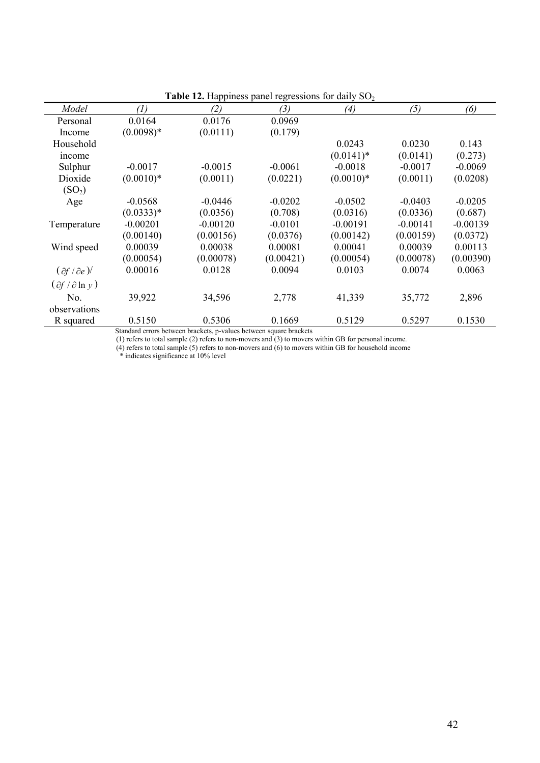|                                            |             | <b>Table 12.</b> Happiness panel regressions for daily $502$ |           |             |            |            |
|--------------------------------------------|-------------|--------------------------------------------------------------|-----------|-------------|------------|------------|
| Model                                      | (1)         | (2)                                                          | (3)       | (4)         | (5)        | (6)        |
| Personal                                   | 0.0164      | 0.0176                                                       | 0.0969    |             |            |            |
| Income                                     | $(0.0098)*$ | (0.0111)                                                     | (0.179)   |             |            |            |
| Household                                  |             |                                                              |           | 0.0243      | 0.0230     | 0.143      |
| income                                     |             |                                                              |           | $(0.0141)*$ | (0.0141)   | (0.273)    |
| Sulphur                                    | $-0.0017$   | $-0.0015$                                                    | $-0.0061$ | $-0.0018$   | $-0.0017$  | $-0.0069$  |
| Dioxide                                    | $(0.0010)*$ | (0.0011)                                                     | (0.0221)  | $(0.0010)*$ | (0.0011)   | (0.0208)   |
| (SO <sub>2</sub> )                         |             |                                                              |           |             |            |            |
| Age                                        | $-0.0568$   | $-0.0446$                                                    | $-0.0202$ | $-0.0502$   | $-0.0403$  | $-0.0205$  |
|                                            | $(0.0333)*$ | (0.0356)                                                     | (0.708)   | (0.0316)    | (0.0336)   | (0.687)    |
| Temperature                                | $-0.00201$  | $-0.00120$                                                   | $-0.0101$ | $-0.00191$  | $-0.00141$ | $-0.00139$ |
|                                            | (0.00140)   | (0.00156)                                                    | (0.0376)  | (0.00142)   | (0.00159)  | (0.0372)   |
| Wind speed                                 | 0.00039     | 0.00038                                                      | 0.00081   | 0.00041     | 0.00039    | 0.00113    |
|                                            | (0.00054)   | (0.00078)                                                    | (0.00421) | (0.00054)   | (0.00078)  | (0.00390)  |
| $(\partial f / \partial e)$                | 0.00016     | 0.0128                                                       | 0.0094    | 0.0103      | 0.0074     | 0.0063     |
| $\left(\partial f / \partial \ln v\right)$ |             |                                                              |           |             |            |            |
| No.                                        | 39,922      | 34,596                                                       | 2,778     | 41,339      | 35,772     | 2,896      |
| observations                               |             |                                                              |           |             |            |            |
| R squared                                  | 0.5150      | 0.5306                                                       | 0.1669    | 0.5129      | 0.5297     | 0.1530     |
|                                            |             |                                                              |           |             |            |            |

**Table 12.** Happiness panel regressions for daily SO<sub>2</sub>

(1) refers to total sample (2) refers to non-movers and (3) to movers within GB for personal income.

(4) refers to total sample (5) refers to non-movers and (6) to movers within GB for household income

\* indicates significance at 10% level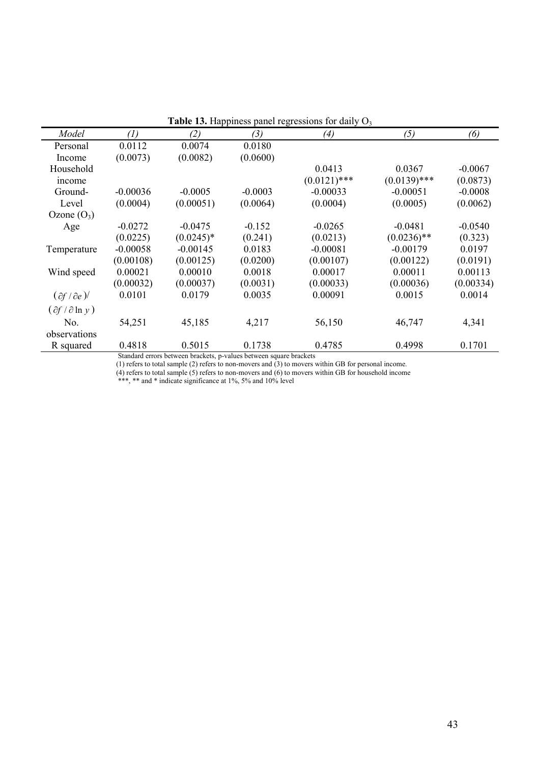| <b>rapic 15.</b> Happiness panel regressions for darry $\sigma_3$ |                   |             |           |                |                |           |  |
|-------------------------------------------------------------------|-------------------|-------------|-----------|----------------|----------------|-----------|--|
| Model                                                             | $\left( l\right)$ | (2)         | (3)       | (4)            | (5)            | (6)       |  |
| Personal                                                          | 0.0112            | 0.0074      | 0.0180    |                |                |           |  |
| Income                                                            | (0.0073)          | (0.0082)    | (0.0600)  |                |                |           |  |
| Household                                                         |                   |             |           | 0.0413         | 0.0367         | $-0.0067$ |  |
| income                                                            |                   |             |           | $(0.0121)$ *** | $(0.0139)$ *** | (0.0873)  |  |
| Ground-                                                           | $-0.00036$        | $-0.0005$   | $-0.0003$ | $-0.00033$     | $-0.00051$     | $-0.0008$ |  |
| Level                                                             | (0.0004)          | (0.00051)   | (0.0064)  | (0.0004)       | (0.0005)       | (0.0062)  |  |
| Ozone $(O_3)$                                                     |                   |             |           |                |                |           |  |
| Age                                                               | $-0.0272$         | $-0.0475$   | $-0.152$  | $-0.0265$      | $-0.0481$      | $-0.0540$ |  |
|                                                                   | (0.0225)          | $(0.0245)*$ | (0.241)   | (0.0213)       | $(0.0236)$ **  | (0.323)   |  |
| Temperature                                                       | $-0.00058$        | $-0.00145$  | 0.0183    | $-0.00081$     | $-0.00179$     | 0.0197    |  |
|                                                                   | (0.00108)         | (0.00125)   | (0.0200)  | (0.00107)      | (0.00122)      | (0.0191)  |  |
| Wind speed                                                        | 0.00021           | 0.00010     | 0.0018    | 0.00017        | 0.00011        | 0.00113   |  |
|                                                                   | (0.00032)         | (0.00037)   | (0.0031)  | (0.00033)      | (0.00036)      | (0.00334) |  |
| $(\partial f / \partial e)$                                       | 0.0101            | 0.0179      | 0.0035    | 0.00091        | 0.0015         | 0.0014    |  |
| $(\partial f / \partial \ln y)$                                   |                   |             |           |                |                |           |  |
| No.                                                               | 54,251            | 45,185      | 4,217     | 56,150         | 46,747         | 4,341     |  |
| observations                                                      |                   |             |           |                |                |           |  |
| R squared                                                         | 0.4818            | 0.5015      | 0.1738    | 0.4785         | 0.4998         | 0.1701    |  |
| $C_1 = 1 - 1$                                                     |                   |             |           |                |                |           |  |

Table 13. Happiness panel regressions for daily O<sub>3</sub>

(1) refers to total sample (2) refers to non-movers and (3) to movers within GB for personal income.

(4) refers to total sample (5) refers to non-movers and (6) to movers within GB for household income

\*\*\*, \*\* and \* indicate significance at 1%, 5% and 10% level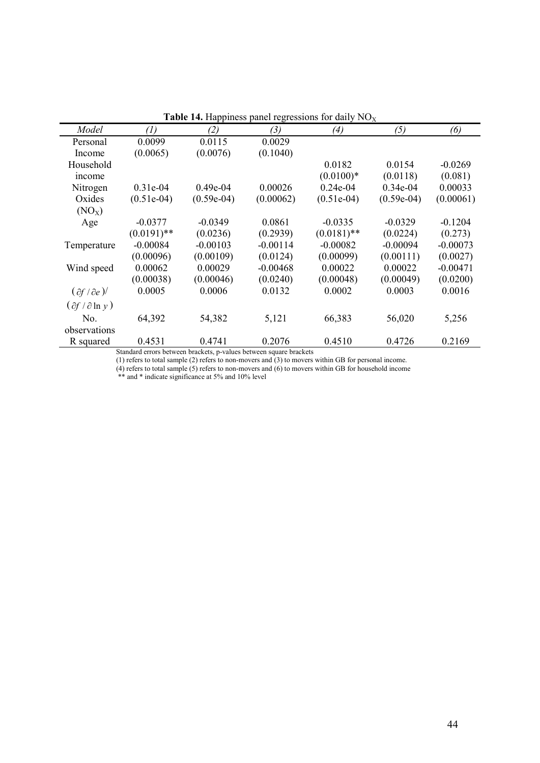| <b>Table 14.</b> Happiness panel regressions for daily $PQX$ |               |              |            |               |              |            |  |  |
|--------------------------------------------------------------|---------------|--------------|------------|---------------|--------------|------------|--|--|
| Model                                                        | (1)           | (2)          | (3)        | (4)           | (5)          | (6)        |  |  |
| Personal                                                     | 0.0099        | 0.0115       | 0.0029     |               |              |            |  |  |
| Income                                                       | (0.0065)      | (0.0076)     | (0.1040)   |               |              |            |  |  |
| Household                                                    |               |              |            | 0.0182        | 0.0154       | $-0.0269$  |  |  |
| income                                                       |               |              |            | $(0.0100)*$   | (0.0118)     | (0.081)    |  |  |
| Nitrogen                                                     | $0.31e-04$    | $0.49e-04$   | 0.00026    | $0.24e-04$    | $0.34e-04$   | 0.00033    |  |  |
| Oxides                                                       | $(0.51e-04)$  | $(0.59e-04)$ | (0.00062)  | $(0.51e-04)$  | $(0.59e-04)$ | (0.00061)  |  |  |
| (NO <sub>X</sub> )                                           |               |              |            |               |              |            |  |  |
| Age                                                          | $-0.0377$     | $-0.0349$    | 0.0861     | $-0.0335$     | $-0.0329$    | $-0.1204$  |  |  |
|                                                              | $(0.0191)$ ** | (0.0236)     | (0.2939)   | $(0.0181)$ ** | (0.0224)     | (0.273)    |  |  |
| Temperature                                                  | $-0.00084$    | $-0.00103$   | $-0.00114$ | $-0.00082$    | $-0.00094$   | $-0.00073$ |  |  |
|                                                              | (0.00096)     | (0.00109)    | (0.0124)   | (0.00099)     | (0.00111)    | (0.0027)   |  |  |
| Wind speed                                                   | 0.00062       | 0.00029      | $-0.00468$ | 0.00022       | 0.00022      | $-0.00471$ |  |  |
|                                                              | (0.00038)     | (0.00046)    | (0.0240)   | (0.00048)     | (0.00049)    | (0.0200)   |  |  |
| $(\partial f / \partial e)$                                  | 0.0005        | 0.0006       | 0.0132     | 0.0002        | 0.0003       | 0.0016     |  |  |
| $(\partial f / \partial \ln y)$                              |               |              |            |               |              |            |  |  |
| No.                                                          | 64,392        | 54,382       | 5,121      | 66,383        | 56,020       | 5,256      |  |  |
| observations                                                 |               |              |            |               |              |            |  |  |
| R squared                                                    | 0.4531        | 0.4741       | 0.2076     | 0.4510        | 0.4726       | 0.2169     |  |  |

**Table 14.** Happiness panel regressions for daily  $NO<sub>x</sub>$ 

(1) refers to total sample (2) refers to non-movers and (3) to movers within GB for personal income.

(4) refers to total sample (5) refers to non-movers and (6) to movers within GB for household income

\*\* and \* indicate significance at 5% and 10% level